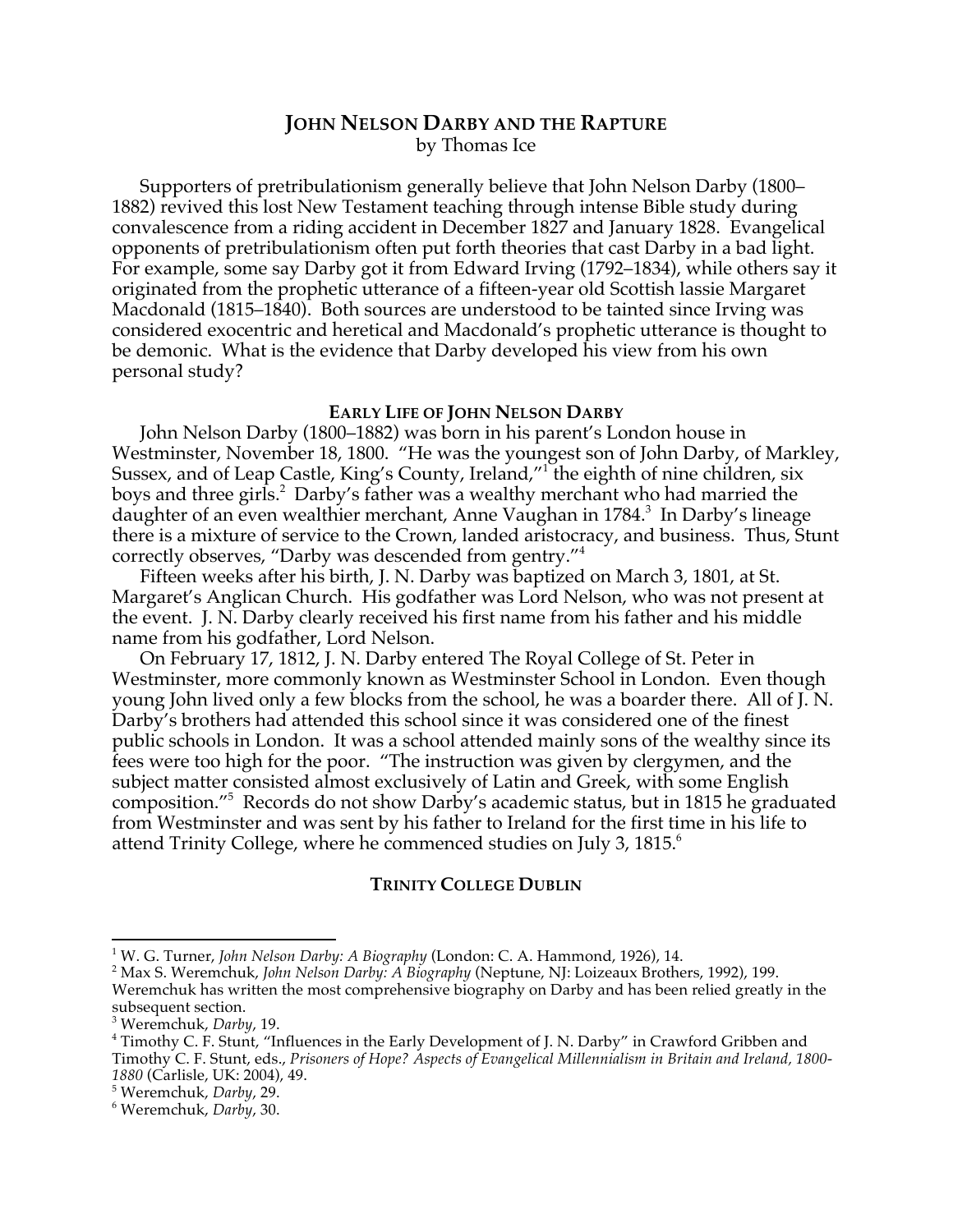# **JOHN NELSON DARBY AND THE RAPTURE** by Thomas Ice

Supporters of pretribulationism generally believe that John Nelson Darby (1800– 1882) revived this lost New Testament teaching through intense Bible study during convalescence from a riding accident in December 1827 and January 1828. Evangelical opponents of pretribulationism often put forth theories that cast Darby in a bad light. For example, some say Darby got it from Edward Irving (1792–1834), while others say it originated from the prophetic utterance of a fifteen-year old Scottish lassie Margaret Macdonald (1815–1840). Both sources are understood to be tainted since Irving was considered exocentric and heretical and Macdonald's prophetic utterance is thought to be demonic. What is the evidence that Darby developed his view from his own personal study?

## **EARLY LIFE OF JOHN NELSON DARBY**

John Nelson Darby (1800–1882) was born in his parent's London house in Westminster, November 18, 1800. "He was the youngest son of John Darby, of Markley, Sussex, and of Leap Castle, King's County, Ireland,"1 the eighth of nine children, six boys and three girls.<sup>2</sup> Darby's father was a wealthy merchant who had married the daughter of an even wealthier merchant, Anne Vaughan in 1784.<sup>3</sup> In Darby's lineage there is a mixture of service to the Crown, landed aristocracy, and business. Thus, Stunt correctly observes, "Darby was descended from gentry."4

Fifteen weeks after his birth, J. N. Darby was baptized on March 3, 1801, at St. Margaret's Anglican Church. His godfather was Lord Nelson, who was not present at the event. J. N. Darby clearly received his first name from his father and his middle name from his godfather, Lord Nelson.

On February 17, 1812, J. N. Darby entered The Royal College of St. Peter in Westminster, more commonly known as Westminster School in London. Even though young John lived only a few blocks from the school, he was a boarder there. All of J. N. Darby's brothers had attended this school since it was considered one of the finest public schools in London. It was a school attended mainly sons of the wealthy since its fees were too high for the poor. "The instruction was given by clergymen, and the subject matter consisted almost exclusively of Latin and Greek, with some English composition."5 Records do not show Darby's academic status, but in 1815 he graduated from Westminster and was sent by his father to Ireland for the first time in his life to attend Trinity College, where he commenced studies on July 3, 1815.<sup>6</sup>

# **TRINITY COLLEGE DUBLIN**

<sup>&</sup>lt;sup>1</sup> W. G. Turner, *John Nelson Darby: A Biography* (London: C. A. Hammond, 1926), 14.<br><sup>2</sup> Max S. Weremchuk, *John Nelson Darby: A Biography* (Neptune, NJ: Loizeaux Brothers, 1992), 199. Weremchuk has written the most comprehensive biography on Darby and has been relied greatly in the subsequent section.<br> $3$  Weremchuk, Darby, 19.

<sup>&</sup>lt;sup>4</sup> Timothy C. F. Stunt, "Influences in the Early Development of J. N. Darby" in Crawford Gribben and Timothy C. F. Stunt, eds., *Prisoners of Hope? Aspects of Evangelical Millennialism in Britain and Ireland, 1800-*

<sup>&</sup>lt;sup>5</sup> Weremchuk, *Darby*, 29.<br><sup>6</sup> Weremchuk, *Darby*, 30.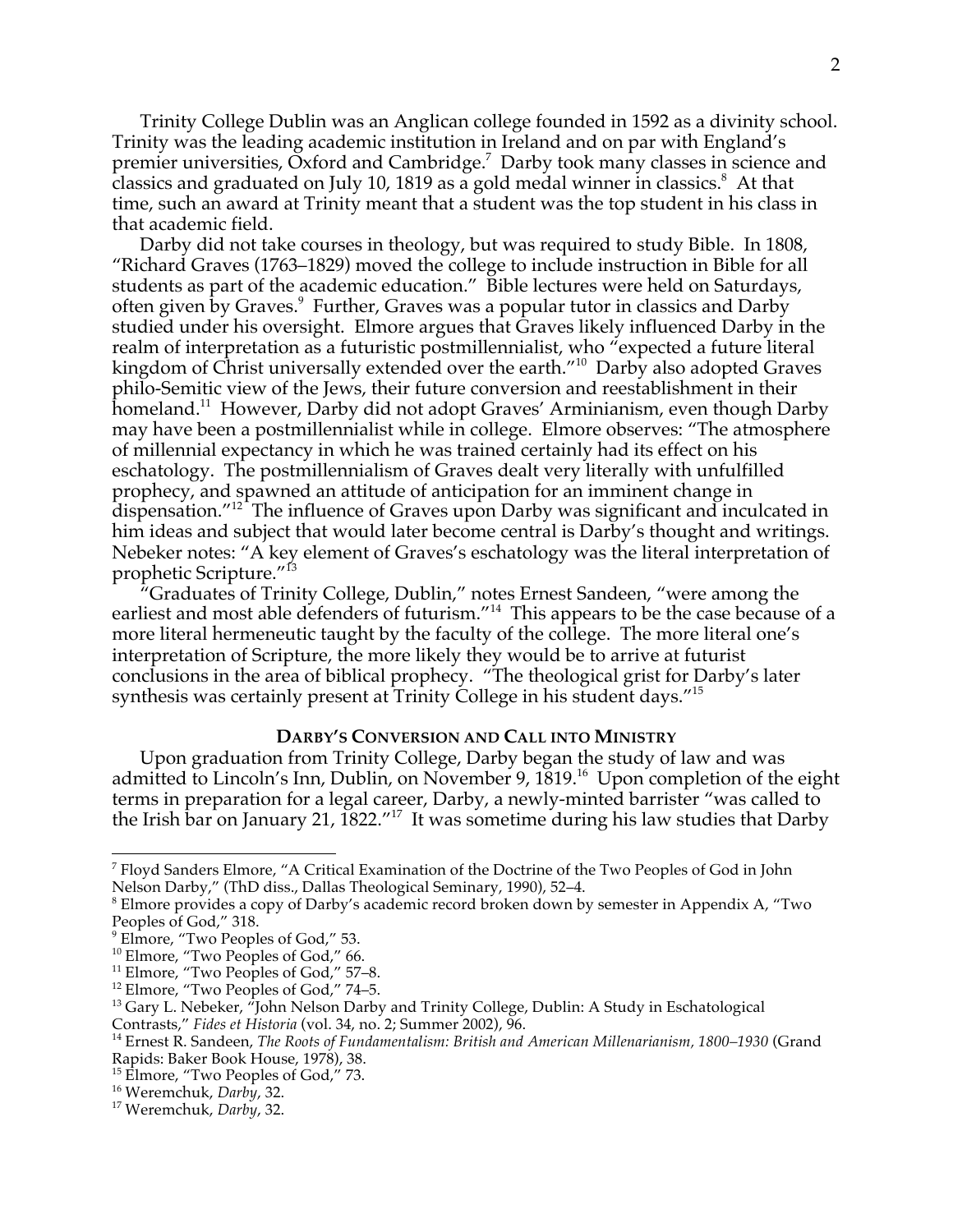Trinity College Dublin was an Anglican college founded in 1592 as a divinity school. Trinity was the leading academic institution in Ireland and on par with England's premier universities, Oxford and Cambridge.<sup>7</sup> Darby took many classes in science and classics and graduated on July 10, 1819 as a gold medal winner in classics. $8$  At that time, such an award at Trinity meant that a student was the top student in his class in that academic field.

Darby did not take courses in theology, but was required to study Bible. In 1808, "Richard Graves (1763–1829) moved the college to include instruction in Bible for all students as part of the academic education." Bible lectures were held on Saturdays, often given by Graves.<sup>9</sup> Further, Graves was a popular tutor in classics and Darby studied under his oversight. Elmore argues that Graves likely influenced Darby in the realm of interpretation as a futuristic postmillennialist, who "expected a future literal kingdom of Christ universally extended over the earth."10 Darby also adopted Graves philo-Semitic view of the Jews, their future conversion and reestablishment in their homeland.<sup>11</sup> However, Darby did not adopt Graves' Arminianism, even though Darby may have been a postmillennialist while in college. Elmore observes: "The atmosphere of millennial expectancy in which he was trained certainly had its effect on his eschatology. The postmillennialism of Graves dealt very literally with unfulfilled prophecy, and spawned an attitude of anticipation for an imminent change in dispensation."12 The influence of Graves upon Darby was significant and inculcated in him ideas and subject that would later become central is Darby's thought and writings. Nebeker notes: "A key element of Graves's eschatology was the literal interpretation of prophetic Scripture."13

"Graduates of Trinity College, Dublin," notes Ernest Sandeen, "were among the earliest and most able defenders of futurism."<sup>14</sup> This appears to be the case because of a more literal hermeneutic taught by the faculty of the college. The more literal one's interpretation of Scripture, the more likely they would be to arrive at futurist conclusions in the area of biblical prophecy. "The theological grist for Darby's later synthesis was certainly present at Trinity College in his student days."<sup>15</sup>

# **DARBY'S CONVERSION AND CALL INTO MINISTRY**

Upon graduation from Trinity College, Darby began the study of law and was admitted to Lincoln's Inn, Dublin, on November 9, 1819.<sup>16</sup> Upon completion of the eight terms in preparation for a legal career, Darby, a newly-minted barrister "was called to the Irish bar on January 21, 1822."<sup>17</sup> It was sometime during his law studies that Darby

 <sup>7</sup> Floyd Sanders Elmore, "A Critical Examination of the Doctrine of the Two Peoples of God in John

Nelson Darby," (ThD diss., Dallas Theological Seminary, 1990), 52–4.<br><sup>8</sup> Elmore provides a copy of Darby's academic record broken down by semester in Appendix A, "Two Peoples of God," 318.

 $\rm{^{9}}$  Elmore, "Two Peoples of God," 53.<br><sup>10</sup> Elmore, "Two Peoples of God," 66.

<sup>&</sup>lt;sup>11</sup> Elmore, "Two Peoples of God," 57–8.<br><sup>12</sup> Elmore, "Two Peoples of God," 74–5.<br><sup>13</sup> Gary L. Nebeker, "John Nelson Darby and Trinity College, Dublin: A Study in Eschatological Contrasts," *Fides et Historia* (vol. 34, no. 2; Summer 2002), 96.<br><sup>14</sup> Ernest R. Sandeen, *The Roots of Fundamentalism: British and American Millenarianism, 1800–1930* (Grand

Rapids: Baker Book House, 1978), 38.

<sup>&</sup>lt;sup>15</sup> Élmore, "Two Peoples of God," 73.<br><sup>16</sup> Weremchuk, *Darby,* 32.<br><sup>17</sup> Weremchuk, *Darby,* 32.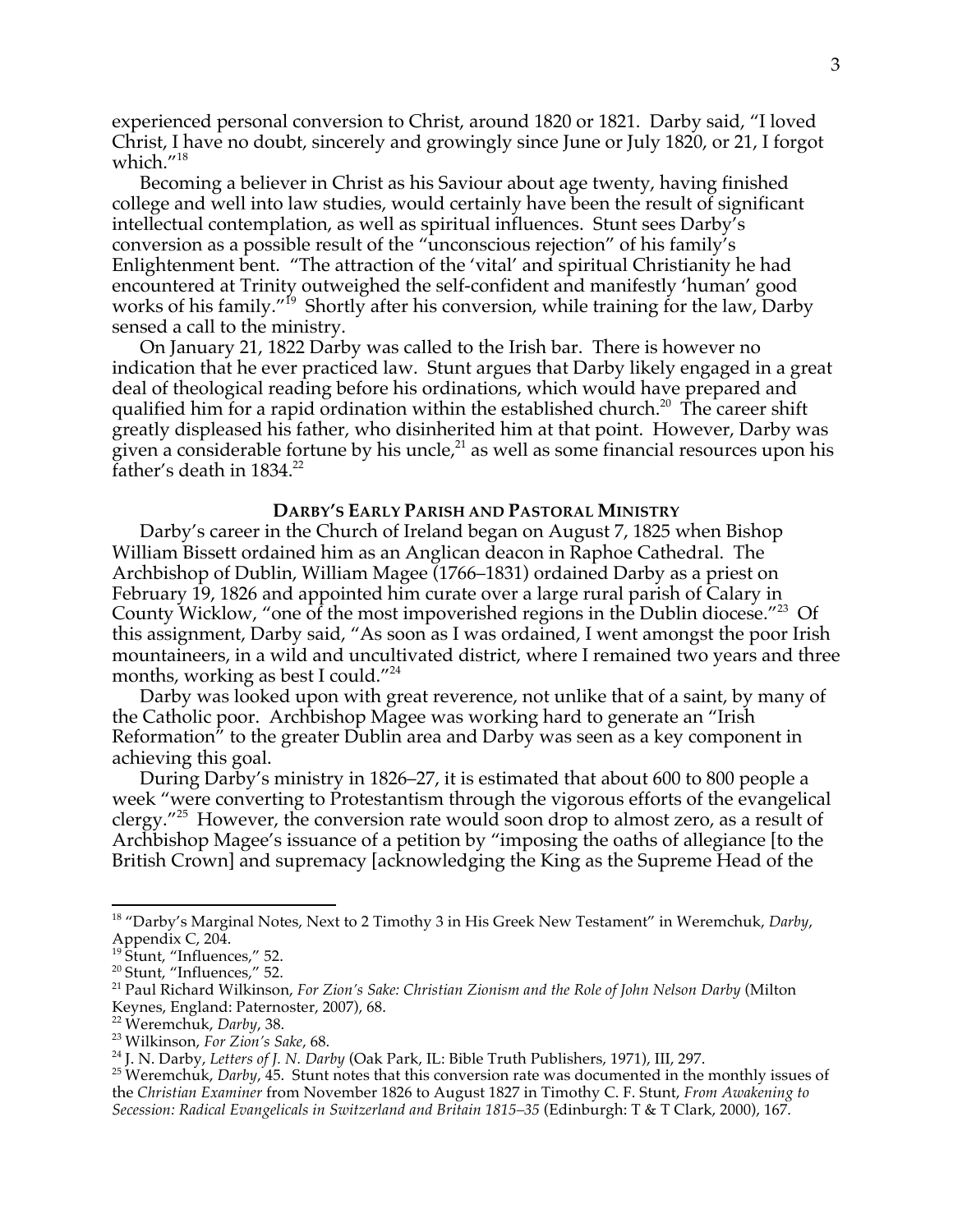experienced personal conversion to Christ, around 1820 or 1821. Darby said, "I loved Christ, I have no doubt, sincerely and growingly since June or July 1820, or 21, I forgot which."<sup>18</sup>

Becoming a believer in Christ as his Saviour about age twenty, having finished college and well into law studies, would certainly have been the result of significant intellectual contemplation, as well as spiritual influences. Stunt sees Darby's conversion as a possible result of the "unconscious rejection" of his family's Enlightenment bent. "The attraction of the 'vital' and spiritual Christianity he had encountered at Trinity outweighed the self-confident and manifestly 'human' good works of his family."<sup>19</sup> Shortly after his conversion, while training for the law, Darby sensed a call to the ministry.

On January 21, 1822 Darby was called to the Irish bar. There is however no indication that he ever practiced law. Stunt argues that Darby likely engaged in a great deal of theological reading before his ordinations, which would have prepared and qualified him for a rapid ordination within the established church.<sup>20</sup> The career shift greatly displeased his father, who disinherited him at that point. However, Darby was given a considerable fortune by his uncle, $21$  as well as some financial resources upon his father's death in  $1834.<sup>22</sup>$ 

### **DARBY'S EARLY PARISH AND PASTORAL MINISTRY**

Darby's career in the Church of Ireland began on August 7, 1825 when Bishop William Bissett ordained him as an Anglican deacon in Raphoe Cathedral. The Archbishop of Dublin, William Magee (1766–1831) ordained Darby as a priest on February 19, 1826 and appointed him curate over a large rural parish of Calary in County Wicklow, "one of the most impoverished regions in the Dublin diocese."<sup>23</sup> Of this assignment, Darby said, "As soon as I was ordained, I went amongst the poor Irish mountaineers, in a wild and uncultivated district, where I remained two years and three months, working as best I could."<sup>24</sup>

Darby was looked upon with great reverence, not unlike that of a saint, by many of the Catholic poor. Archbishop Magee was working hard to generate an "Irish Reformation" to the greater Dublin area and Darby was seen as a key component in achieving this goal.

During Darby's ministry in 1826–27, it is estimated that about 600 to 800 people a week "were converting to Protestantism through the vigorous efforts of the evangelical clergy."25 However, the conversion rate would soon drop to almost zero, as a result of Archbishop Magee's issuance of a petition by "imposing the oaths of allegiance [to the British Crown] and supremacy [acknowledging the King as the Supreme Head of the

 <sup>18</sup> "Darby's Marginal Notes, Next to 2 Timothy 3 in His Greek New Testament" in Weremchuk, *Darby*, Appendix C, 204.<br><sup>19</sup> Stunt, "Influences," 52.

<sup>&</sup>lt;sup>20</sup> Stunt, "Influences," 52.<br><sup>21</sup> Paul Richard Wilkinson, *For Zion's Sake: Christian Zionism and the Role of John Nelson Darby* (Milton Keynes, England: Paternoster, 2007), 68.<br><sup>22</sup> Weremchuk, *Darby*, 38.

<sup>&</sup>lt;sup>23</sup> Wilkinson, For Zion's Sake, 68.<br><sup>24</sup> J. N. Darby, Letters of J. N. Darby (Oak Park, IL: Bible Truth Publishers, 1971), III, 297.<br><sup>25</sup> Weremchuk, *Darby*, 45. Stunt notes that this conversion rate was documented in the the *Christian Examiner* from November 1826 to August 1827 in Timothy C. F. Stunt, *From Awakening to Secession: Radical Evangelicals in Switzerland and Britain 1815–35* (Edinburgh: T & T Clark, 2000), 167.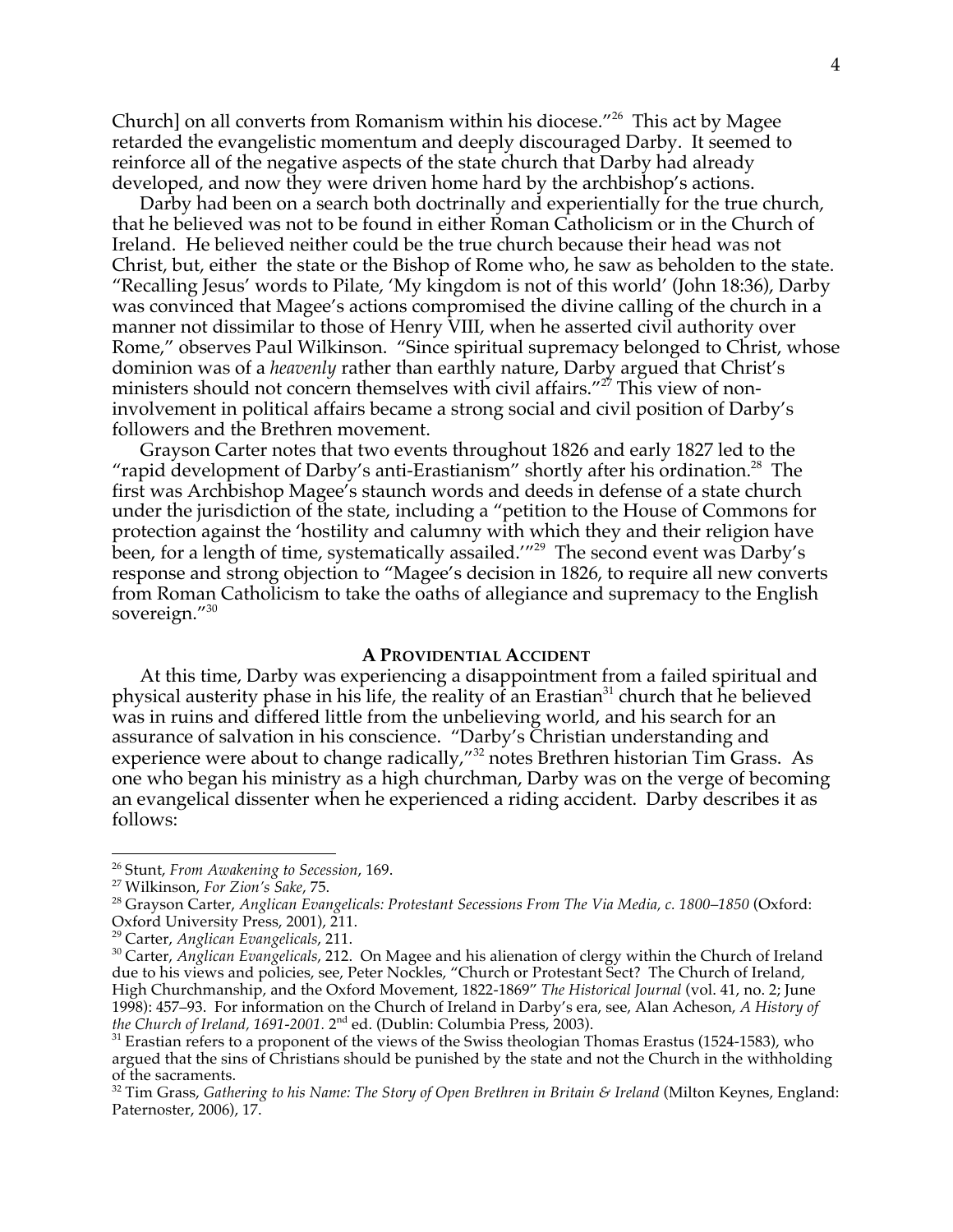Church] on all converts from Romanism within his diocese."26 This act by Magee retarded the evangelistic momentum and deeply discouraged Darby. It seemed to reinforce all of the negative aspects of the state church that Darby had already developed, and now they were driven home hard by the archbishop's actions.

Darby had been on a search both doctrinally and experientially for the true church, that he believed was not to be found in either Roman Catholicism or in the Church of Ireland. He believed neither could be the true church because their head was not Christ, but, either the state or the Bishop of Rome who, he saw as beholden to the state. "Recalling Jesus' words to Pilate, 'My kingdom is not of this world' (John 18:36), Darby was convinced that Magee's actions compromised the divine calling of the church in a manner not dissimilar to those of Henry VIII, when he asserted civil authority over Rome," observes Paul Wilkinson. "Since spiritual supremacy belonged to Christ, whose dominion was of a *heavenly* rather than earthly nature, Darby argued that Christ's ministers should not concern themselves with civil affairs." $2^{\frac{1}{2}}$  This view of noninvolvement in political affairs became a strong social and civil position of Darby's followers and the Brethren movement.

Grayson Carter notes that two events throughout 1826 and early 1827 led to the "rapid development of Darby's anti-Erastianism" shortly after his ordination.<sup>28</sup> The first was Archbishop Magee's staunch words and deeds in defense of a state church under the jurisdiction of the state, including a "petition to the House of Commons for protection against the 'hostility and calumny with which they and their religion have been, for a length of time, systematically assailed."<sup>29</sup> The second event was Darby's response and strong objection to "Magee's decision in 1826, to require all new converts from Roman Catholicism to take the oaths of allegiance and supremacy to the English sovereign."30

#### **A PROVIDENTIAL ACCIDENT**

At this time, Darby was experiencing a disappointment from a failed spiritual and physical austerity phase in his life, the reality of an Erastian<sup>31</sup> church that he believed was in ruins and differed little from the unbelieving world, and his search for an assurance of salvation in his conscience. "Darby's Christian understanding and experience were about to change radically,"<sup>32</sup> notes Brethren historian Tim Grass. As one who began his ministry as a high churchman, Darby was on the verge of becoming an evangelical dissenter when he experienced a riding accident. Darby describes it as follows:

<sup>&</sup>lt;sup>26</sup> Stunt, *From Awakening to Secession,* 169.<br><sup>27</sup> Wilkinson, *For Zion's Sake,* 75.<br><sup>28</sup> Grayson Carter, *Anglican Evangelicals: Protestant Secessions From The Via Media, c. 1800–1850 (Oxford:* Oxford University Press, 2001), 211.<br><sup>29</sup> Carter, *Anglican Evangelicals*, 211.

<sup>&</sup>lt;sup>30</sup> Carter, *Anglican Evangelicals*, 212. On Magee and his alienation of clergy within the Church of Ireland due to his views and policies, see, Peter Nockles, "Church or Protestant Sect? The Church of Ireland, High Churchmanship, and the Oxford Movement, 1822-1869" *The Historical Journal* (vol. 41, no. 2; June 1998): 457–93. For information on the Church of Ireland in Darby's era, see, Alan Acheson, *A History of* 

<sup>&</sup>lt;sup>31</sup> Erastian refers to a proponent of the views of the Swiss theologian Thomas Erastus (1524-1583), who argued that the sins of Christians should be punished by the state and not the Church in the withholding of the sacraments.

<sup>32</sup> Tim Grass, *Gathering to his Name: The Story of Open Brethren in Britain & Ireland* (Milton Keynes, England: Paternoster, 2006), 17.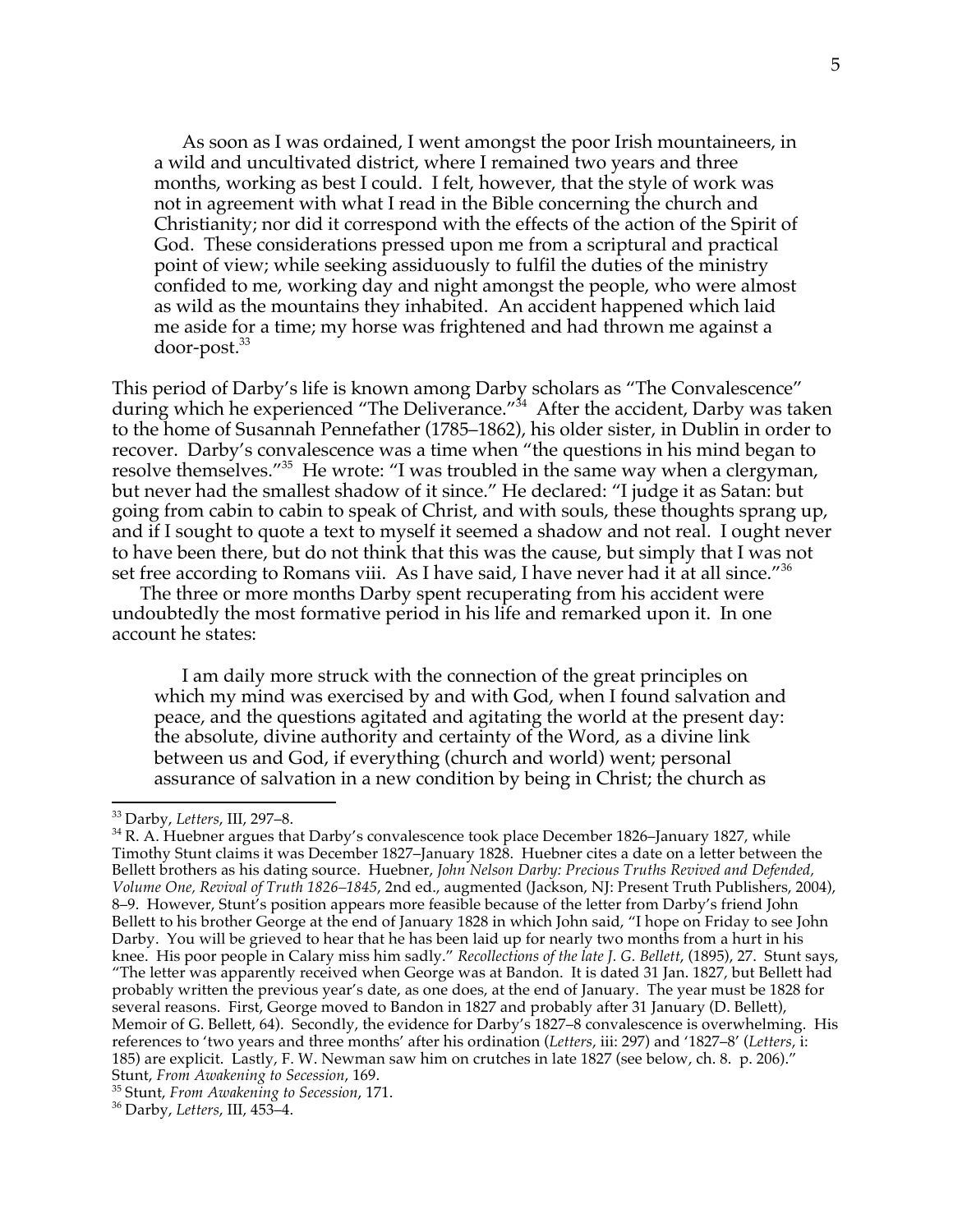As soon as I was ordained, I went amongst the poor Irish mountaineers, in a wild and uncultivated district, where I remained two years and three months, working as best I could. I felt, however, that the style of work was not in agreement with what I read in the Bible concerning the church and Christianity; nor did it correspond with the effects of the action of the Spirit of God. These considerations pressed upon me from a scriptural and practical point of view; while seeking assiduously to fulfil the duties of the ministry confided to me, working day and night amongst the people, who were almost as wild as the mountains they inhabited. An accident happened which laid me aside for a time; my horse was frightened and had thrown me against a  $door-post.<sup>33</sup>$ 

This period of Darby's life is known among Darby scholars as "The Convalescence" during which he experienced "The Deliverance."<sup>34</sup> After the accident, Darby was taken to the home of Susannah Pennefather (1785–1862), his older sister, in Dublin in order to recover. Darby's convalescence was a time when "the questions in his mind began to resolve themselves."35 He wrote: "I was troubled in the same way when a clergyman, but never had the smallest shadow of it since." He declared: "I judge it as Satan: but going from cabin to cabin to speak of Christ, and with souls, these thoughts sprang up, and if I sought to quote a text to myself it seemed a shadow and not real. I ought never to have been there, but do not think that this was the cause, but simply that I was not set free according to Romans viii. As I have said, I have never had it at all since."<sup>36</sup>

The three or more months Darby spent recuperating from his accident were undoubtedly the most formative period in his life and remarked upon it. In one account he states:

I am daily more struck with the connection of the great principles on which my mind was exercised by and with God, when I found salvation and peace, and the questions agitated and agitating the world at the present day: the absolute, divine authority and certainty of the Word, as a divine link between us and God, if everything (church and world) went; personal assurance of salvation in a new condition by being in Christ; the church as

<sup>&</sup>lt;sup>33</sup> Darby*, Letters, III, 297–8*.<br><sup>34</sup> R. A. Huebner argues that Darby's convalescence took place December 1826–January 1827, while Timothy Stunt claims it was December 1827–January 1828. Huebner cites a date on a letter between the Bellett brothers as his dating source. Huebner, *John Nelson Darby: Precious Truths Revived and Defended, Volume One, Revival of Truth 1826–1845*, 2nd ed., augmented (Jackson, NJ: Present Truth Publishers, 2004), 8–9. However, Stunt's position appears more feasible because of the letter from Darby's friend John Bellett to his brother George at the end of January 1828 in which John said, "I hope on Friday to see John Darby. You will be grieved to hear that he has been laid up for nearly two months from a hurt in his knee. His poor people in Calary miss him sadly." *Recollections of the late J. G. Bellett*, (1895), 27. Stunt says, "The letter was apparently received when George was at Bandon. It is dated 31 Jan. 1827, but Bellett had probably written the previous year's date, as one does, at the end of January. The year must be 1828 for several reasons. First, George moved to Bandon in 1827 and probably after 31 January (D. Bellett), Memoir of G. Bellett, 64). Secondly, the evidence for Darby's 1827–8 convalescence is overwhelming. His references to 'two years and three months' after his ordination (*Letters*, iii: 297) and '1827–8' (*Letters*, i: 185) are explicit. Lastly, F. W. Newman saw him on crutches in late 1827 (see below, ch. 8. p. 206)."<br>Stunt, From Awakening to Secession, 169.

<sup>&</sup>lt;sup>35</sup> Stunt, *From Awakening to Secession*, 171.<br><sup>36</sup> Darby, *Letters*, III, 453–4.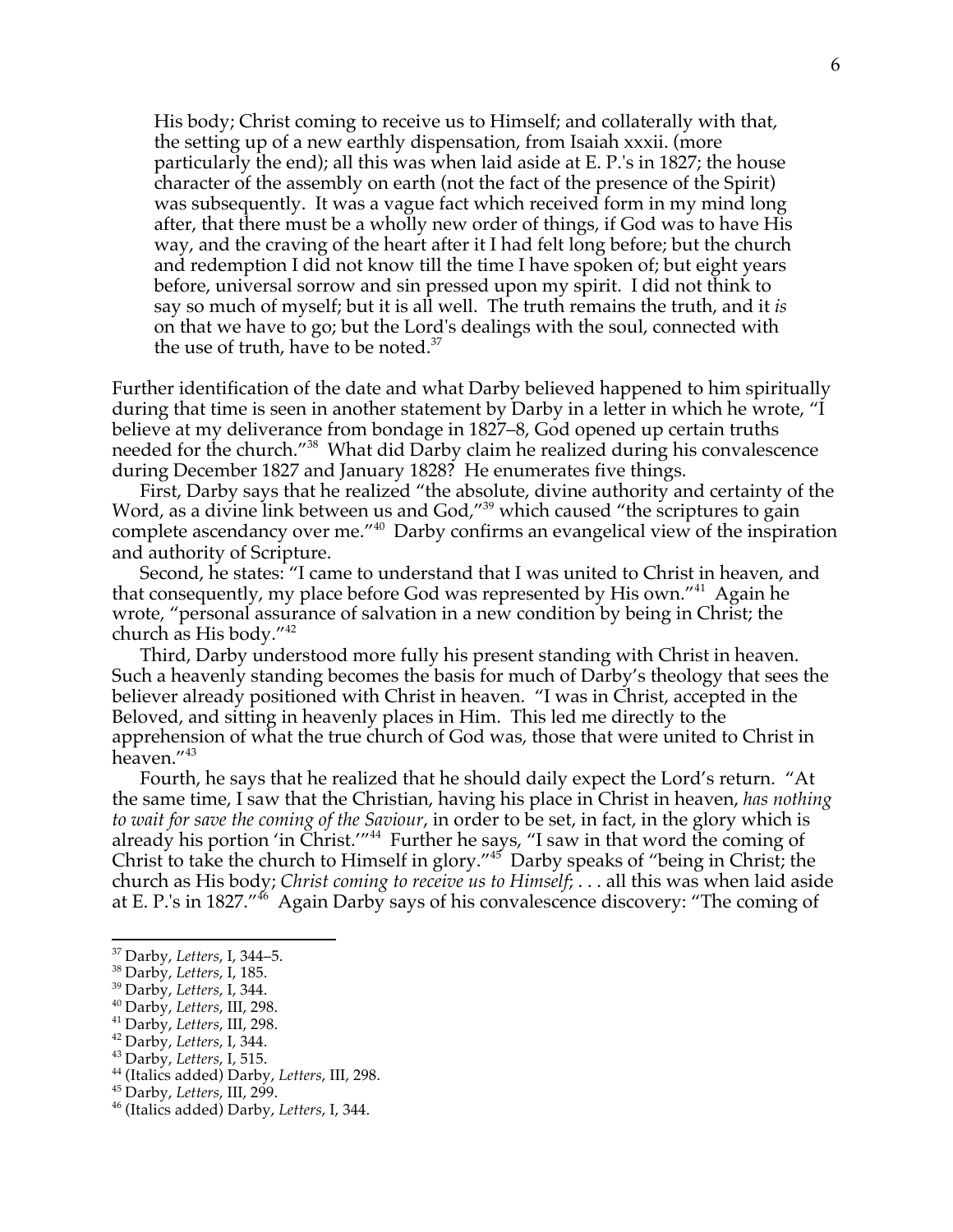His body; Christ coming to receive us to Himself; and collaterally with that, the setting up of a new earthly dispensation, from Isaiah xxxii. (more particularly the end); all this was when laid aside at E. P.'s in 1827; the house character of the assembly on earth (not the fact of the presence of the Spirit) was subsequently. It was a vague fact which received form in my mind long after, that there must be a wholly new order of things, if God was to have His way, and the craving of the heart after it I had felt long before; but the church and redemption I did not know till the time I have spoken of; but eight years before, universal sorrow and sin pressed upon my spirit. I did not think to say so much of myself; but it is all well. The truth remains the truth, and it *is*  on that we have to go; but the Lord's dealings with the soul, connected with the use of truth, have to be noted. $37$ 

Further identification of the date and what Darby believed happened to him spiritually during that time is seen in another statement by Darby in a letter in which he wrote, "I believe at my deliverance from bondage in 1827–8, God opened up certain truths needed for the church."<sup>38</sup> What did Darby claim he realized during his convalescence during December 1827 and January 1828? He enumerates five things.

First, Darby says that he realized "the absolute, divine authority and certainty of the Word, as a divine link between us and God,"<sup>39</sup> which caused "the scriptures to gain complete ascendancy over me."40 Darby confirms an evangelical view of the inspiration and authority of Scripture.

Second, he states: "I came to understand that I was united to Christ in heaven, and that consequently, my place before God was represented by His own."<sup>41</sup> Again he wrote, "personal assurance of salvation in a new condition by being in Christ; the church as His body."42

Third, Darby understood more fully his present standing with Christ in heaven. Such a heavenly standing becomes the basis for much of Darby's theology that sees the believer already positioned with Christ in heaven. "I was in Christ, accepted in the Beloved, and sitting in heavenly places in Him. This led me directly to the apprehension of what the true church of God was, those that were united to Christ in heaven."<sup>43</sup>

Fourth, he says that he realized that he should daily expect the Lord's return. "At the same time, I saw that the Christian, having his place in Christ in heaven, *has nothing to wait for save the coming of the Saviour*, in order to be set, in fact, in the glory which is already his portion 'in Christ.'"<sup>44</sup> Further he says, "I saw in that word the coming of Christ to take the church to Himself in glory."45 Darby speaks of "being in Christ; the church as His body; *Christ coming to receive us to Himself*; . . . all this was when laid aside at E. P.'s in 1827."46 Again Darby says of his convalescence discovery: "The coming of

<sup>&</sup>lt;sup>37</sup> Darby, *Letters*, I, 344–5.<br><sup>38</sup> Darby, *Letters*, I, 185.<br><sup>39</sup> Darby, *Letters*, I, 344.<br><sup>40</sup> Darby, *Letters*, III, 298.<br><sup>41</sup> Darby, *Letters*, II, 344.<br><sup>43</sup> Darby, *Letters*, I, 515.<br><sup>44</sup> (Italics added) Darby, *L*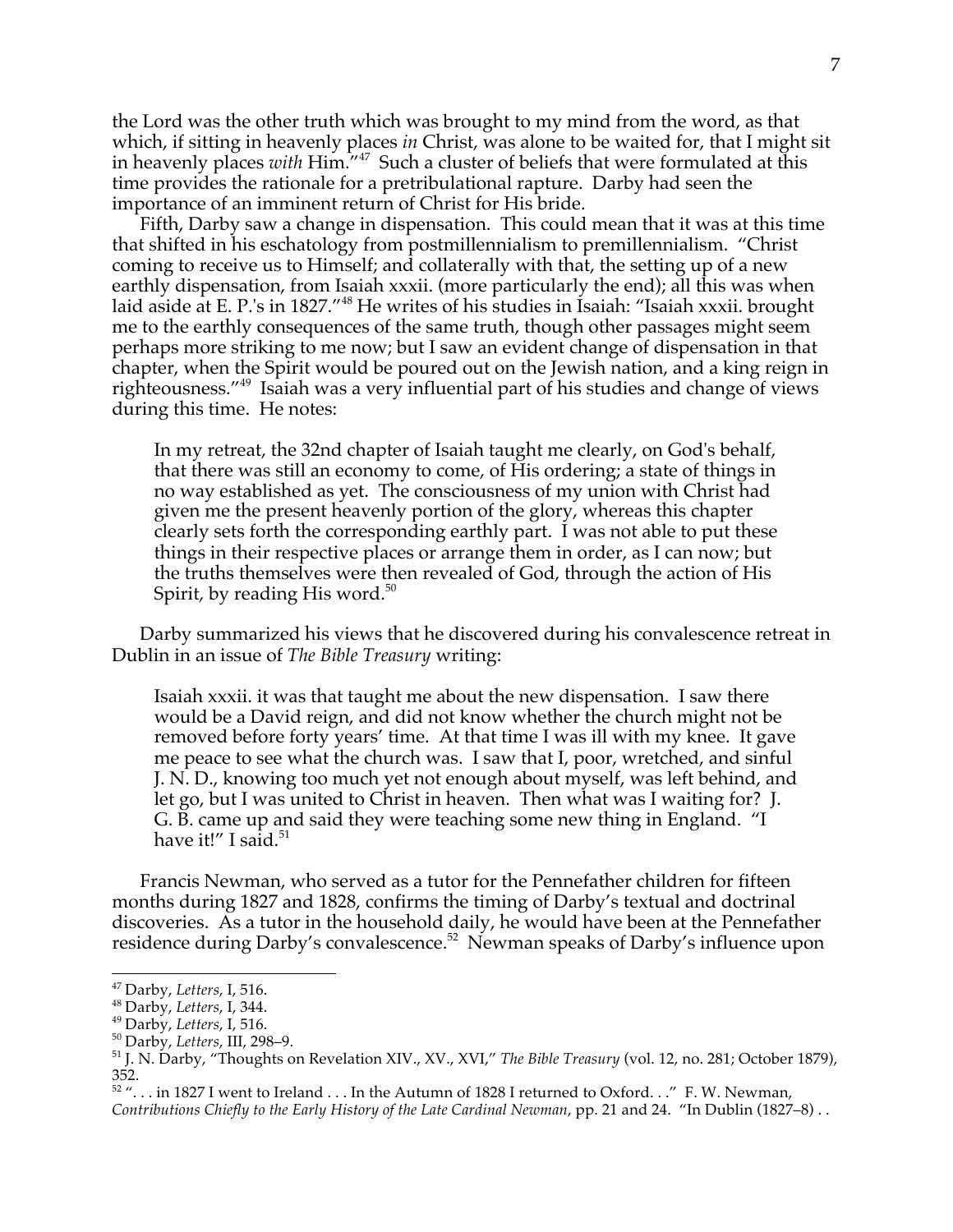the Lord was the other truth which was brought to my mind from the word, as that which, if sitting in heavenly places *in* Christ, was alone to be waited for, that I might sit in heavenly places *with* Him.<sup>"47</sup> Such a cluster of beliefs that were formulated at this time provides the rationale for a pretribulational rapture. Darby had seen the importance of an imminent return of Christ for His bride.

Fifth, Darby saw a change in dispensation. This could mean that it was at this time that shifted in his eschatology from postmillennialism to premillennialism. "Christ coming to receive us to Himself; and collaterally with that, the setting up of a new earthly dispensation, from Isaiah xxxii. (more particularly the end); all this was when laid aside at E. P.'s in 1827."<sup>48</sup> He writes of his studies in Isaiah: "Isaiah xxxii. brought me to the earthly consequences of the same truth, though other passages might seem perhaps more striking to me now; but I saw an evident change of dispensation in that chapter, when the Spirit would be poured out on the Jewish nation, and a king reign in righteousness."49 Isaiah was a very influential part of his studies and change of views during this time. He notes:

In my retreat, the 32nd chapter of Isaiah taught me clearly, on God's behalf, that there was still an economy to come, of His ordering; a state of things in no way established as yet. The consciousness of my union with Christ had given me the present heavenly portion of the glory, whereas this chapter clearly sets forth the corresponding earthly part. I was not able to put these things in their respective places or arrange them in order, as I can now; but the truths themselves were then revealed of God, through the action of His Spirit, by reading His word. $50<sup>50</sup>$ 

Darby summarized his views that he discovered during his convalescence retreat in Dublin in an issue of *The Bible Treasury* writing:

Isaiah xxxii. it was that taught me about the new dispensation. I saw there would be a David reign, and did not know whether the church might not be removed before forty years' time. At that time I was ill with my knee. It gave me peace to see what the church was. I saw that I, poor, wretched, and sinful J. N. D., knowing too much yet not enough about myself, was left behind, and let go, but I was united to Christ in heaven. Then what was I waiting for? J. G. B. came up and said they were teaching some new thing in England. "I have it!" I said.<sup>51</sup>

Francis Newman, who served as a tutor for the Pennefather children for fifteen months during 1827 and 1828, confirms the timing of Darby's textual and doctrinal discoveries. As a tutor in the household daily, he would have been at the Pennefather residence during Darby's convalescence. 52 Newman speaks of Darby's influence upon

<sup>&</sup>lt;sup>47</sup> Darby, *Letters,* I, 516.<br><sup>48</sup> Darby, *Letters,* I, 344.<br><sup>49</sup> Darby, *Letters,* I, 516.<br><sup>50</sup> Darby, *Letters,* III, 298–9.<br><sup>51</sup> J. N. Darby, "Thoughts on Revelation XIV., XV., XVI," *The Bible Treasury* (vol. 12, no. 352.

 $52$  "... in 1827 I went to Ireland ... In the Autumn of 1828 I returned to Oxford..." F. W. Newman,

*Contributions Chiefly to the Early History of the Late Cardinal Newman*, pp. 21 and 24. "In Dublin (1827–8) . .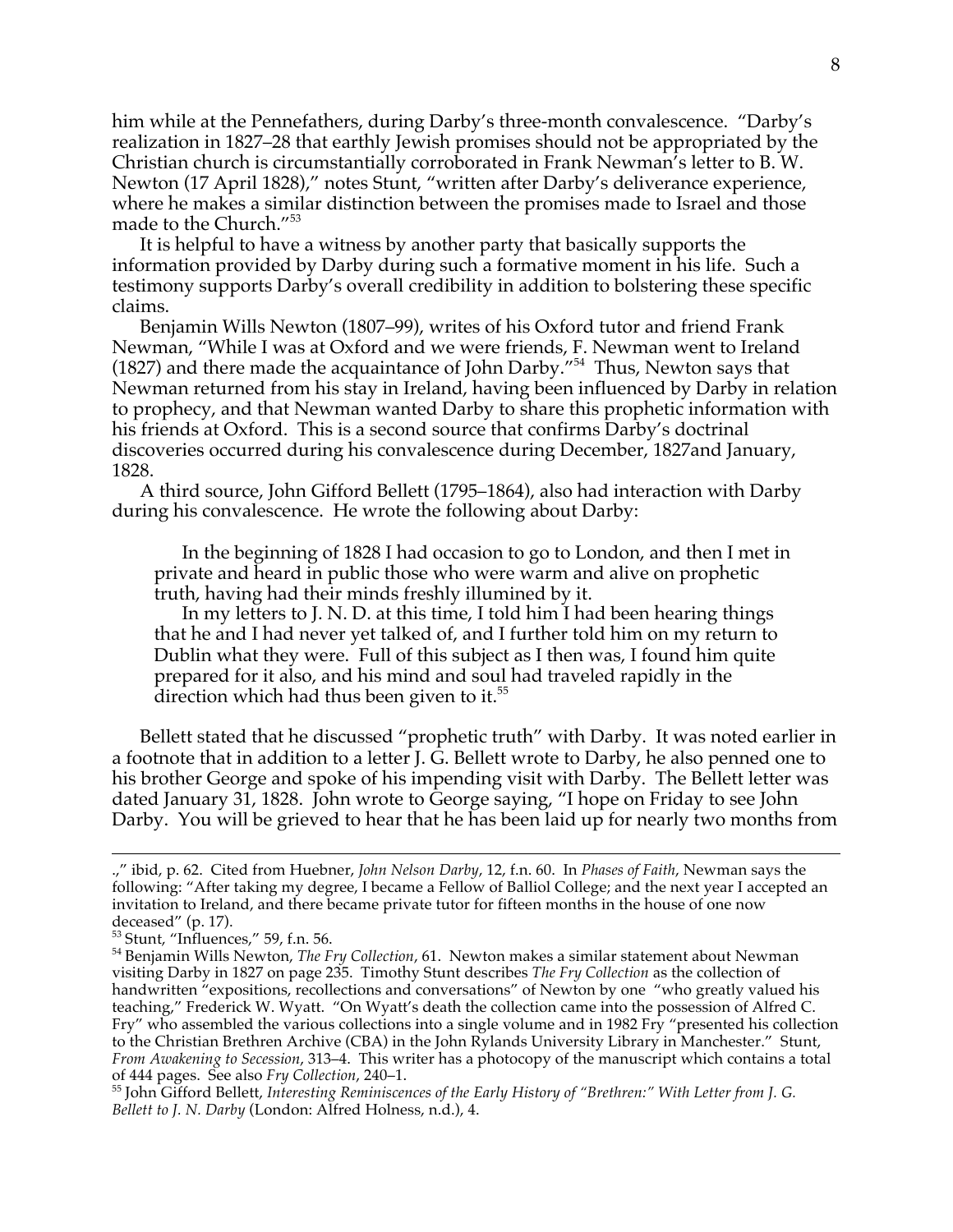him while at the Pennefathers, during Darby's three-month convalescence. "Darby's realization in 1827–28 that earthly Jewish promises should not be appropriated by the Christian church is circumstantially corroborated in Frank Newman's letter to B. W. Newton (17 April 1828)," notes Stunt, "written after Darby's deliverance experience, where he makes a similar distinction between the promises made to Israel and those made to the Church."53

It is helpful to have a witness by another party that basically supports the information provided by Darby during such a formative moment in his life. Such a testimony supports Darby's overall credibility in addition to bolstering these specific claims.

Benjamin Wills Newton (1807–99), writes of his Oxford tutor and friend Frank Newman, "While I was at Oxford and we were friends, F. Newman went to Ireland (1827) and there made the acquaintance of John Darby."<sup>54</sup> Thus, Newton says that Newman returned from his stay in Ireland, having been influenced by Darby in relation to prophecy, and that Newman wanted Darby to share this prophetic information with his friends at Oxford. This is a second source that confirms Darby's doctrinal discoveries occurred during his convalescence during December, 1827and January, 1828.

A third source, John Gifford Bellett (1795–1864), also had interaction with Darby during his convalescence. He wrote the following about Darby:

In the beginning of 1828 I had occasion to go to London, and then I met in private and heard in public those who were warm and alive on prophetic truth, having had their minds freshly illumined by it.

In my letters to J. N. D. at this time, I told him I had been hearing things that he and I had never yet talked of, and I further told him on my return to Dublin what they were. Full of this subject as I then was, I found him quite prepared for it also, and his mind and soul had traveled rapidly in the direction which had thus been given to it.<sup>55</sup>

Bellett stated that he discussed "prophetic truth" with Darby. It was noted earlier in a footnote that in addition to a letter J. G. Bellett wrote to Darby, he also penned one to his brother George and spoke of his impending visit with Darby. The Bellett letter was dated January 31, 1828. John wrote to George saying, "I hope on Friday to see John Darby. You will be grieved to hear that he has been laid up for nearly two months from

 <sup>.,&</sup>quot; ibid, p. 62. Cited from Huebner, *John Nelson Darby*, 12, f.n. 60. In *Phases of Faith*, Newman says the following: "After taking my degree, I became a Fellow of Balliol College; and the next year I accepted an invitation to Ireland, and there became private tutor for fifteen months in the house of one now deceased" (p. 17).<br><sup>53</sup> Stunt, "Influences," 59, f.n. 56.

<sup>&</sup>lt;sup>54</sup> Benjamin Wills Newton, *The Fry Collection*, 61. Newton makes a similar statement about Newman visiting Darby in 1827 on page 235. Timothy Stunt describes *The Fry Collection* as the collection of handwritten "expositions, recollections and conversations" of Newton by one "who greatly valued his teaching," Frederick W. Wyatt. "On Wyatt's death the collection came into the possession of Alfred C. Fry" who assembled the various collections into a single volume and in 1982 Fry "presented his collection Fry" to the Christian Brethren Archive (CBA) in the John Rylands University Library in Manchester." Stunt, *From Awakening to Secession*, 313–4. This writer has a photocopy of the manuscript which contains a total

<sup>&</sup>lt;sup>55</sup> John Gifford Bellett, *Interesting Reminiscences of the Early History of "Brethren:" With Letter from J. G. Bellett to J. N. Darby* (London: Alfred Holness, n.d.), 4.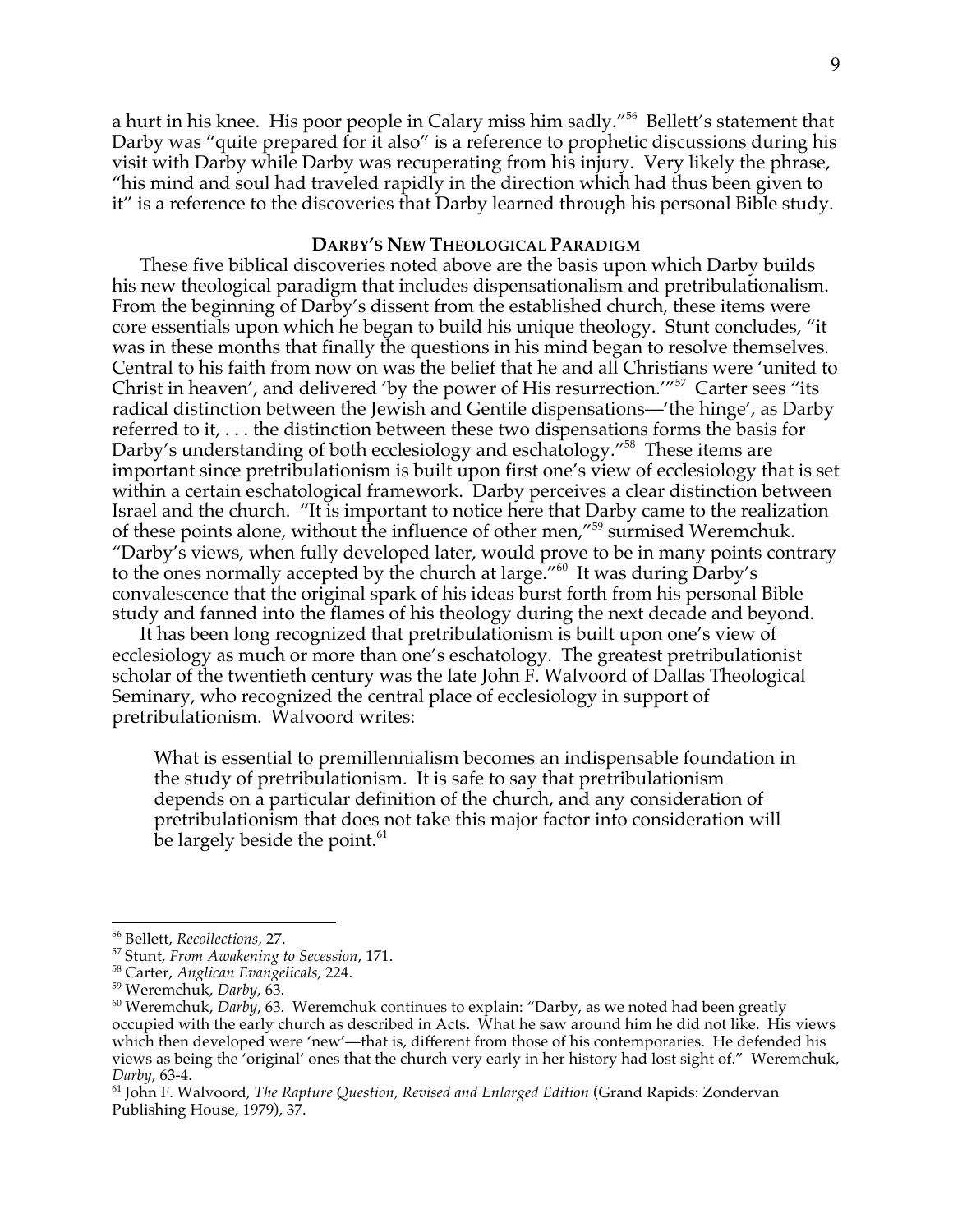a hurt in his knee. His poor people in Calary miss him sadly."<sup>56</sup> Bellett's statement that Darby was "quite prepared for it also" is a reference to prophetic discussions during his visit with Darby while Darby was recuperating from his injury. Very likely the phrase, "his mind and soul had traveled rapidly in the direction which had thus been given to it" is a reference to the discoveries that Darby learned through his personal Bible study.

#### **DARBY'S NEW THEOLOGICAL PARADIGM**

These five biblical discoveries noted above are the basis upon which Darby builds his new theological paradigm that includes dispensationalism and pretribulationalism. From the beginning of Darby's dissent from the established church, these items were core essentials upon which he began to build his unique theology. Stunt concludes, "it was in these months that finally the questions in his mind began to resolve themselves. Central to his faith from now on was the belief that he and all Christians were 'united to Christ in heaven', and delivered 'by the power of His resurrection.'"<sup>57</sup> Carter sees "its radical distinction between the Jewish and Gentile dispensations—'the hinge', as Darby referred to it, . . . the distinction between these two dispensations forms the basis for Darby's understanding of both ecclesiology and eschatology."<sup>58</sup> These items are important since pretribulationism is built upon first one's view of ecclesiology that is set within a certain eschatological framework. Darby perceives a clear distinction between Israel and the church. "It is important to notice here that Darby came to the realization of these points alone, without the influence of other men,"<sup>59</sup> surmised Weremchuk. "Darby's views, when fully developed later, would prove to be in many points contrary to the ones normally accepted by the church at large."60 It was during Darby's convalescence that the original spark of his ideas burst forth from his personal Bible study and fanned into the flames of his theology during the next decade and beyond.

It has been long recognized that pretribulationism is built upon one's view of ecclesiology as much or more than one's eschatology. The greatest pretribulationist scholar of the twentieth century was the late John F. Walvoord of Dallas Theological Seminary, who recognized the central place of ecclesiology in support of pretribulationism. Walvoord writes:

What is essential to premillennialism becomes an indispensable foundation in the study of pretribulationism. It is safe to say that pretribulationism depends on a particular definition of the church, and any consideration of pretribulationism that does not take this major factor into consideration will be largely beside the point.<sup>61</sup>

<sup>&</sup>lt;sup>56</sup> Bellett, Recollections, 27.<br><sup>57</sup> Stunt, From Awakening to Secession, 171.<br><sup>58</sup> Carter, Anglican Evangelicals, 224.<br><sup>59</sup> Weremchuk, Darby, 63. Weremchuk continues to explain: "Darby, as we noted had been greatly<br><sup>60</sup> W occupied with the early church as described in Acts. What he saw around him he did not like. His views which then developed were 'new'—that is, different from those of his contemporaries. He defended his views as being the 'original' ones that the church very early in her history had lost sight of." Weremchuk, Darbu, 63-4.

<sup>&</sup>lt;sup>61</sup> John F. Walvoord, *The Rapture Question, Revised and Enlarged Edition* (Grand Rapids: Zondervan Publishing House, 1979), 37.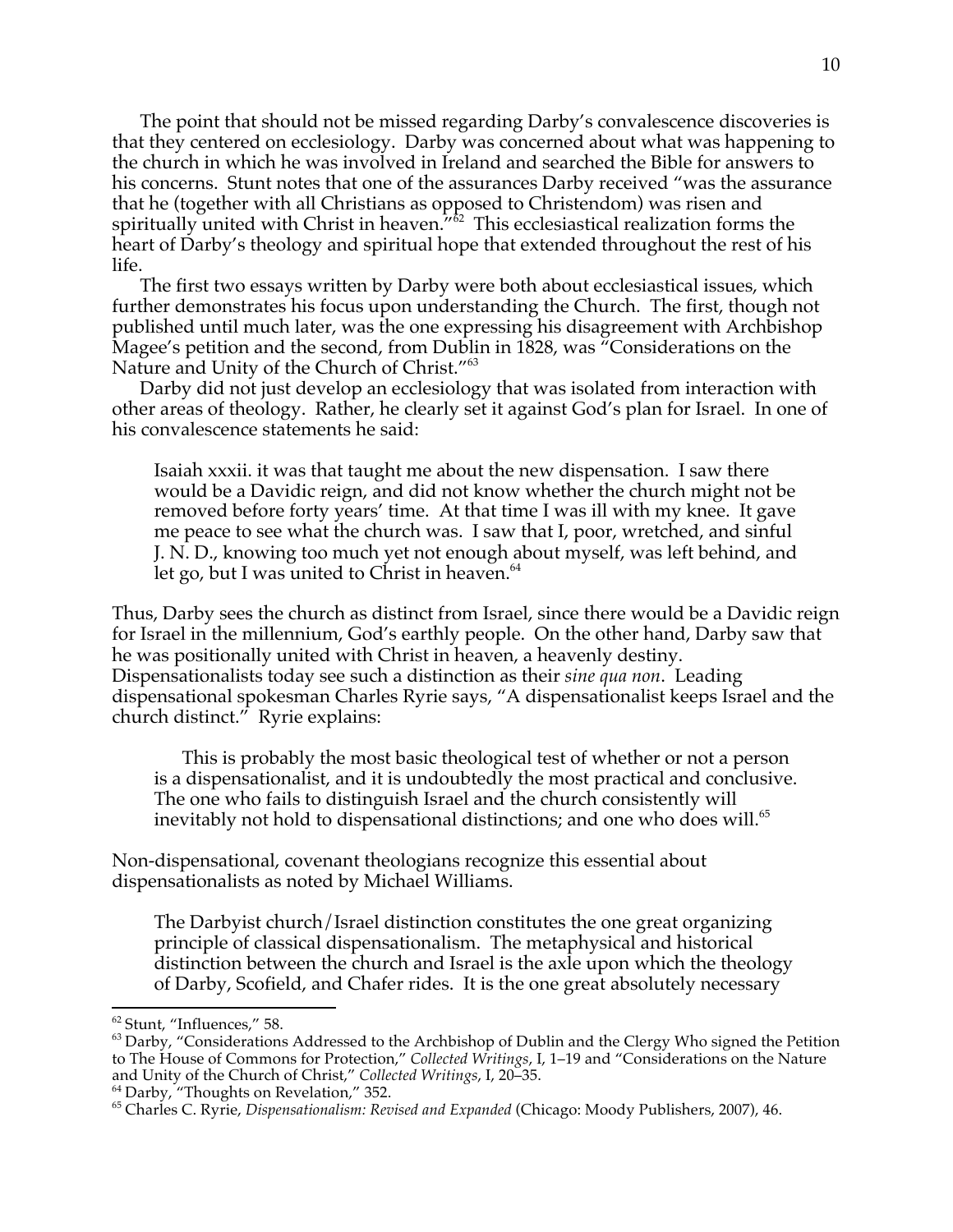The point that should not be missed regarding Darby's convalescence discoveries is that they centered on ecclesiology. Darby was concerned about what was happening to the church in which he was involved in Ireland and searched the Bible for answers to his concerns. Stunt notes that one of the assurances Darby received "was the assurance that he (together with all Christians as opposed to Christendom) was risen and spiritually united with Christ in heaven.<sup>762</sup> This ecclesiastical realization forms the heart of Darby's theology and spiritual hope that extended throughout the rest of his life.

The first two essays written by Darby were both about ecclesiastical issues, which further demonstrates his focus upon understanding the Church. The first, though not published until much later, was the one expressing his disagreement with Archbishop Magee's petition and the second, from Dublin in 1828, was "Considerations on the Nature and Unity of the Church of Christ."<sup>63</sup>

Darby did not just develop an ecclesiology that was isolated from interaction with other areas of theology. Rather, he clearly set it against God's plan for Israel. In one of his convalescence statements he said:

Isaiah xxxii. it was that taught me about the new dispensation. I saw there would be a Davidic reign, and did not know whether the church might not be removed before forty years' time. At that time I was ill with my knee. It gave me peace to see what the church was. I saw that I, poor, wretched, and sinful J. N. D., knowing too much yet not enough about myself, was left behind, and let go, but I was united to Christ in heaven. $64$ 

Thus, Darby sees the church as distinct from Israel, since there would be a Davidic reign for Israel in the millennium, God's earthly people. On the other hand, Darby saw that he was positionally united with Christ in heaven, a heavenly destiny. Dispensationalists today see such a distinction as their *sine qua non*. Leading dispensational spokesman Charles Ryrie says, "A dispensationalist keeps Israel and the church distinct." Ryrie explains:

This is probably the most basic theological test of whether or not a person is a dispensationalist, and it is undoubtedly the most practical and conclusive. The one who fails to distinguish Israel and the church consistently will inevitably not hold to dispensational distinctions; and one who does will.<sup>65</sup>

Non-dispensational, covenant theologians recognize this essential about dispensationalists as noted by Michael Williams.

The Darbyist church/Israel distinction constitutes the one great organizing principle of classical dispensationalism. The metaphysical and historical distinction between the church and Israel is the axle upon which the theology of Darby, Scofield, and Chafer rides. It is the one great absolutely necessary

<sup>&</sup>lt;sup>62</sup> Stunt, "Influences," 58.<br><sup>63</sup> Darby, "Considerations Addressed to the Archbishop of Dublin and the Clergy Who signed the Petition to The House of Commons for Protection," *Collected Writings*, I, 1–19 and "Considerations on the Nature

<sup>&</sup>lt;sup>64</sup> Darby, "Thoughts on Revelation," 352.<br><sup>65</sup> Charles C. Ryrie, *Dispensationalism: Revised and Expanded* (Chicago: Moody Publishers, 2007), 46.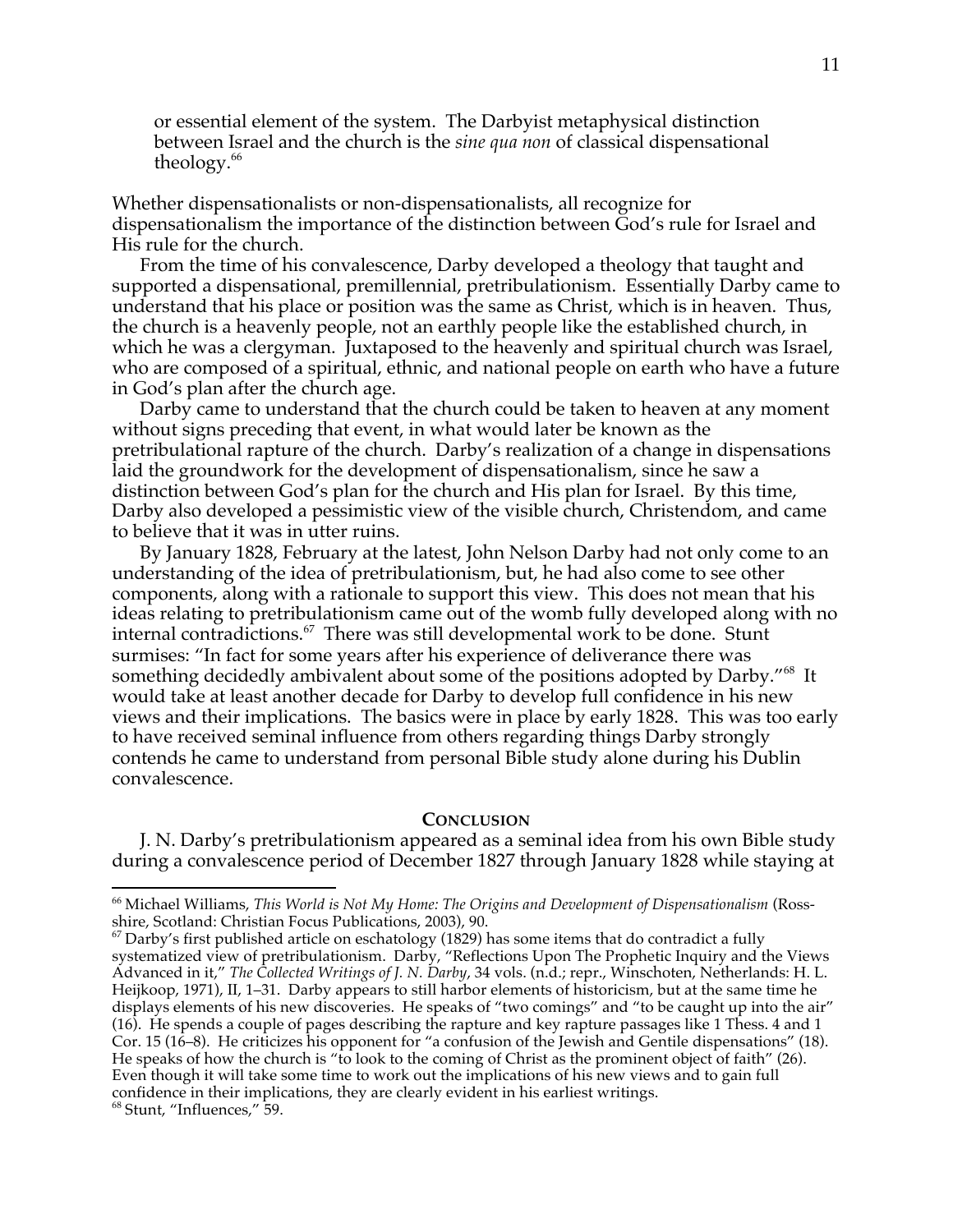or essential element of the system. The Darbyist metaphysical distinction between Israel and the church is the *sine qua non* of classical dispensational theology.<sup>66</sup>

Whether dispensationalists or non-dispensationalists, all recognize for dispensationalism the importance of the distinction between God's rule for Israel and His rule for the church.

From the time of his convalescence, Darby developed a theology that taught and supported a dispensational, premillennial, pretribulationism. Essentially Darby came to understand that his place or position was the same as Christ, which is in heaven. Thus, the church is a heavenly people, not an earthly people like the established church, in which he was a clergyman. Juxtaposed to the heavenly and spiritual church was Israel, who are composed of a spiritual, ethnic, and national people on earth who have a future in God's plan after the church age.

Darby came to understand that the church could be taken to heaven at any moment without signs preceding that event, in what would later be known as the pretribulational rapture of the church. Darby's realization of a change in dispensations laid the groundwork for the development of dispensationalism, since he saw a distinction between God's plan for the church and His plan for Israel. By this time, Darby also developed a pessimistic view of the visible church, Christendom, and came to believe that it was in utter ruins.

By January 1828, February at the latest, John Nelson Darby had not only come to an understanding of the idea of pretribulationism, but, he had also come to see other components, along with a rationale to support this view. This does not mean that his ideas relating to pretribulationism came out of the womb fully developed along with no internal contradictions.<sup>67</sup> There was still developmental work to be done. Stunt surmises: "In fact for some years after his experience of deliverance there was something decidedly ambivalent about some of the positions adopted by Darby."<sup>68</sup> It would take at least another decade for Darby to develop full confidence in his new views and their implications. The basics were in place by early 1828. This was too early to have received seminal influence from others regarding things Darby strongly contends he came to understand from personal Bible study alone during his Dublin convalescence.

### **CONCLUSION**

J. N. Darby's pretribulationism appeared as a seminal idea from his own Bible study during a convalescence period of December 1827 through January 1828 while staying at

 <sup>66</sup> Michael Williams, *This World is Not My Home: The Origins and Development of Dispensationalism* (Rossshire, Scotland: Christian Focus Publications, 2003), 90.

 $67$  Darby's first published article on eschatology (1829) has some items that do contradict a fully systematized view of pretribulationism. Darby, "Reflections Upon The Prophetic Inquiry and the Views Advanced in it," *The Collected Writings of J. N. Darby*, 34 vols. (n.d.; repr., Winschoten, Netherlands: H. L. Heijkoop, 1971), II, 1–31. Darby appears to still harbor elements of historicism, but at the same time he displays elements of his new discoveries. He speaks of "two comings" and "to be caught up into the air" (16). He spends a couple of pages describing the rapture and key rapture passages like 1 Thess. 4 and 1 Cor. 15 (16–8). He criticizes his opponent for "a confusion of the Jewish and Gentile dispensations" (18). He speaks of how the church is "to look to the coming of Christ as the prominent object of faith" (26). Even though it will take some time to work out the implications of his new views and to gain full confidence in their implications, they are clearly evident in his earliest writings. <sup>68</sup> Stunt, "Influences," 59.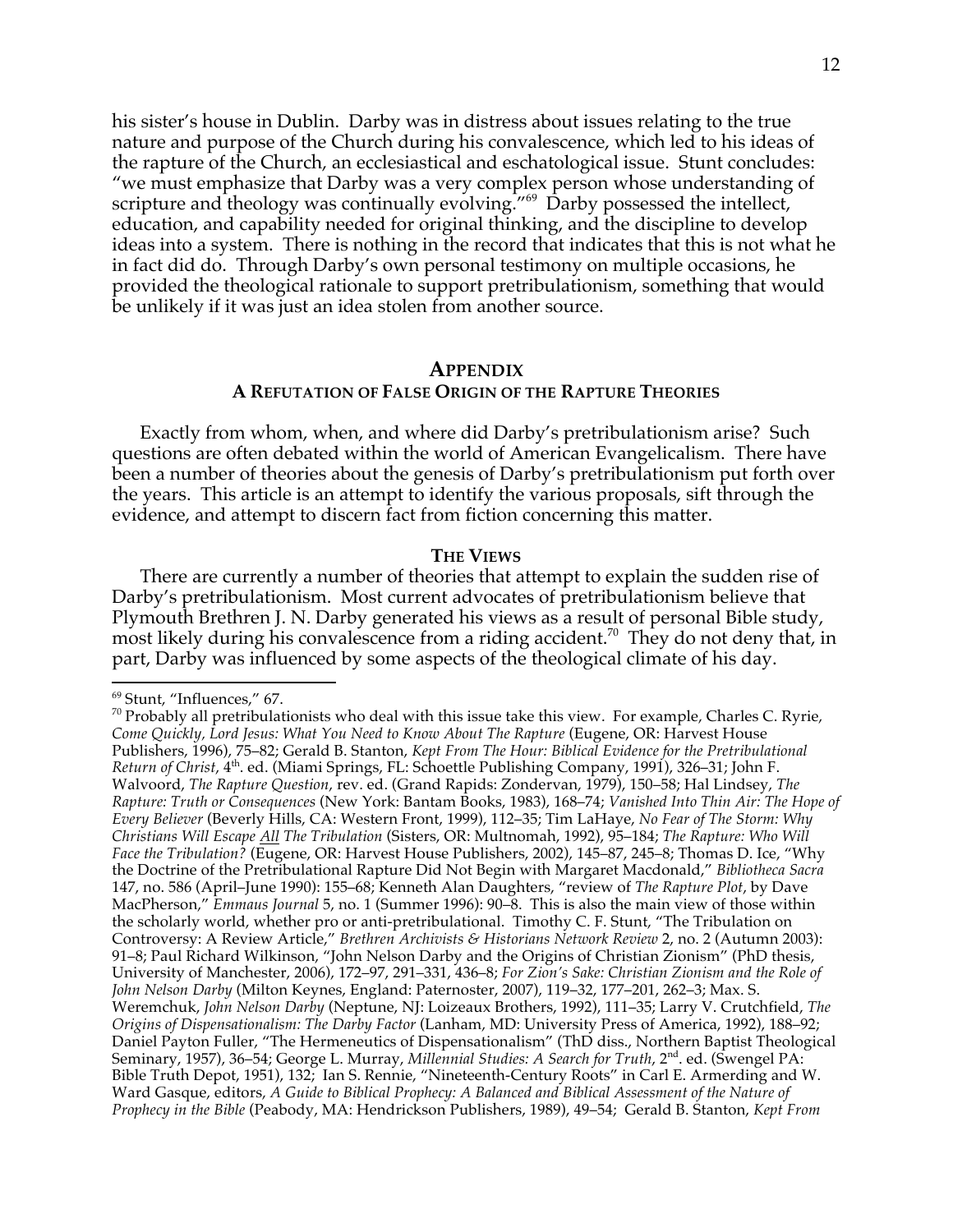his sister's house in Dublin. Darby was in distress about issues relating to the true nature and purpose of the Church during his convalescence, which led to his ideas of the rapture of the Church, an ecclesiastical and eschatological issue. Stunt concludes: "we must emphasize that Darby was a very complex person whose understanding of scripture and theology was continually evolving.<sup>"69</sup> Darby possessed the intellect, education, and capability needed for original thinking, and the discipline to develop ideas into a system. There is nothing in the record that indicates that this is not what he in fact did do. Through Darby's own personal testimony on multiple occasions, he provided the theological rationale to support pretribulationism, something that would be unlikely if it was just an idea stolen from another source.

# **APPENDIX A REFUTATION OF FALSE ORIGIN OF THE RAPTURE THEORIES**

Exactly from whom, when, and where did Darby's pretribulationism arise? Such questions are often debated within the world of American Evangelicalism. There have been a number of theories about the genesis of Darby's pretribulationism put forth over the years. This article is an attempt to identify the various proposals, sift through the evidence, and attempt to discern fact from fiction concerning this matter.

# **THE VIEWS**

There are currently a number of theories that attempt to explain the sudden rise of Darby's pretribulationism. Most current advocates of pretribulationism believe that Plymouth Brethren J. N. Darby generated his views as a result of personal Bible study, most likely during his convalescence from a riding accident.<sup>70</sup> They do not deny that, in part, Darby was influenced by some aspects of the theological climate of his day.

<sup>&</sup>lt;sup>69</sup> Stunt, "Influences," 67.<br><sup>70</sup> Probably all pretribulationists who deal with this issue take this view. For example, Charles C. Ryrie, *Come Quickly, Lord Jesus: What You Need to Know About The Rapture* (Eugene, OR: Harvest House Publishers, 1996), 75–82; Gerald B. Stanton, *Kept From The Hour: Biblical Evidence for the Pretribulational Return of Christ*, 4th. ed. (Miami Springs, FL: Schoettle Publishing Company, 1991), 326–31; John F. Walvoord, *The Rapture Question*, rev. ed. (Grand Rapids: Zondervan, 1979), 150–58; Hal Lindsey, *The Rapture: Truth or Consequences* (New York: Bantam Books, 1983), 168–74; *Vanished Into Thin Air: The Hope of Every Believer* (Beverly Hills, CA: Western Front, 1999), 112–35; Tim LaHaye, *No Fear of The Storm: Why Christians Will Escape All The Tribulation* (Sisters, OR: Multnomah, 1992), 95–184; *The Rapture: Who Will Face the Tribulation?* (Eugene, OR: Harvest House Publishers, 2002), 145–87, 245–8; Thomas D. Ice, "Why the Doctrine of the Pretribulational Rapture Did Not Begin with Margaret Macdonald," *Bibliotheca Sacra* 147, no. 586 (April–June 1990): 155–68; Kenneth Alan Daughters, "review of *The Rapture Plot*, by Dave MacPherson," *Emmaus Journal* 5, no. 1 (Summer 1996): 90–8. This is also the main view of those within the scholarly world, whether pro or anti-pretribulational. Timothy C. F. Stunt, "The Tribulation on Controversy: A Review Article," *Brethren Archivists & Historians Network Review* 2, no. 2 (Autumn 2003): 91–8; Paul Richard Wilkinson, "John Nelson Darby and the Origins of Christian Zionism" (PhD thesis, University of Manchester, 2006), 172–97, 291–331, 436–8; *For Zion's Sake: Christian Zionism and the Role of John Nelson Darby* (Milton Keynes, England: Paternoster, 2007), 119–32, 177–201, 262–3; Max. S. Weremchuk, *John Nelson Darby* (Neptune, NJ: Loizeaux Brothers, 1992), 111–35; Larry V. Crutchfield, *The Origins of Dispensationalism: The Darby Factor* (Lanham, MD: University Press of America, 1992), 188–92; Daniel Payton Fuller, "The Hermeneutics of Dispensationalism" (ThD diss., Northern Baptist Theological Seminary, 1957), 36–54; George L. Murray, *Millennial Studies: A Search for Truth*, 2nd. ed. (Swengel PA: Bible Truth Depot, 1951), 132; Ian S. Rennie, "Nineteenth-Century Roots" in Carl E. Armerding and W. Ward Gasque, editors, *A Guide to Biblical Prophecy: A Balanced and Biblical Assessment of the Nature of Prophecy in the Bible* (Peabody, MA: Hendrickson Publishers, 1989), 49–54; Gerald B. Stanton, *Kept From*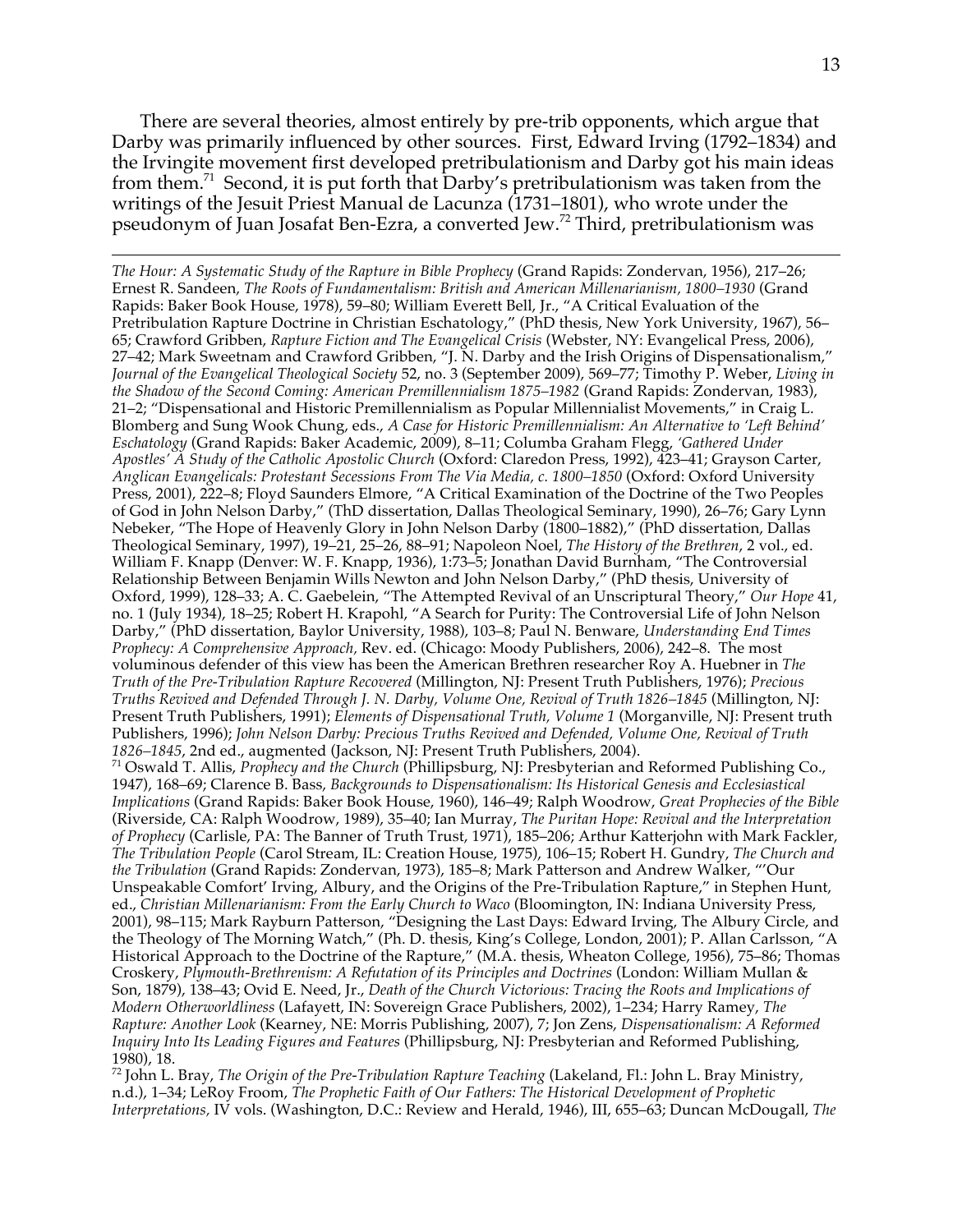There are several theories, almost entirely by pre-trib opponents, which argue that Darby was primarily influenced by other sources. First, Edward Irving (1792–1834) and the Irvingite movement first developed pretribulationism and Darby got his main ideas from them.71 Second, it is put forth that Darby's pretribulationism was taken from the writings of the Jesuit Priest Manual de Lacunza (1731–1801), who wrote under the pseudonym of Juan Josafat Ben-Ezra, a converted Jew.<sup>72</sup> Third, pretribulationism was

 $\overline{a}$ 

*The Hour: A Systematic Study of the Rapture in Bible Prophecy* (Grand Rapids: Zondervan, 1956), 217–26; Ernest R. Sandeen, *The Roots of Fundamentalism: British and American Millenarianism, 1800–1930* (Grand Rapids: Baker Book House, 1978), 59–80; William Everett Bell, Jr., "A Critical Evaluation of the Pretribulation Rapture Doctrine in Christian Eschatology," (PhD thesis, New York University, 1967), 56– 65; Crawford Gribben, *Rapture Fiction and The Evangelical Crisis* (Webster, NY: Evangelical Press, 2006), 27–42; Mark Sweetnam and Crawford Gribben, "J. N. Darby and the Irish Origins of Dispensationalism," *Journal of the Evangelical Theological Society* 52, no. 3 (September 2009), 569–77; Timothy P. Weber, *Living in the Shadow of the Second Coming: American Premillennialism 1875–1982* (Grand Rapids: Zondervan, 1983), 21–2; "Dispensational and Historic Premillennialism as Popular Millennialist Movements," in Craig L. Blomberg and Sung Wook Chung, eds., *A Case for Historic Premillennialism: An Alternative to 'Left Behind' Eschatology* (Grand Rapids: Baker Academic, 2009), 8–11; Columba Graham Flegg, *'Gathered Under Apostles' A Study of the Catholic Apostolic Church* (Oxford: Claredon Press, 1992), 423–41; Grayson Carter, *Anglican Evangelicals: Protestant Secessions From The Via Media, c. 1800–1850* (Oxford: Oxford University Press, 2001), 222–8; Floyd Saunders Elmore, "A Critical Examination of the Doctrine of the Two Peoples of God in John Nelson Darby," (ThD dissertation, Dallas Theological Seminary, 1990), 26–76; Gary Lynn Nebeker, "The Hope of Heavenly Glory in John Nelson Darby (1800–1882)," (PhD dissertation, Dallas Theological Seminary, 1997), 19–21, 25–26, 88–91; Napoleon Noel, *The History of the Brethren*, 2 vol., ed. William F. Knapp (Denver: W. F. Knapp, 1936), 1:73–5; Jonathan David Burnham, "The Controversial Relationship Between Benjamin Wills Newton and John Nelson Darby," (PhD thesis, University of Oxford, 1999), 128–33; A. C. Gaebelein, "The Attempted Revival of an Unscriptural Theory," *Our Hope* 41, no. 1 (July 1934), 18–25; Robert H. Krapohl, "A Search for Purity: The Controversial Life of John Nelson Darby," (PhD dissertation, Baylor University, 1988), 103–8; Paul N. Benware, *Understanding End Times Prophecy: A Comprehensive Approach,* Rev. ed. (Chicago: Moody Publishers, 2006), 242–8. The most voluminous defender of this view has been the American Brethren researcher Roy A. Huebner in *The Truth of the Pre-Tribulation Rapture Recovered* (Millington, NJ: Present Truth Publishers, 1976); *Precious Truths Revived and Defended Through J. N. Darby, Volume One, Revival of Truth 1826–1845* (Millington, NJ: Present Truth Publishers, 1991); *Elements of Dispensational Truth, Volume 1* (Morganville, NJ: Present truth Publishers, 1996); *John Nelson Darby: Precious Truths Revived and Defended, Volume One, Revival of Truth 1826–1845*, 2nd ed., augmented (Jackson, NJ: Present Truth Publishers, 2004).<br><sup>71</sup> Oswald T. Allis, *Prophecy and the Church* (Phillipsburg, NJ: Presbyterian and Reformed Publishing Co., 1947), 168–69; Clarence B. Bass, *Backgrounds to Dispensationalism: Its Historical Genesis and Ecclesiastical Implications* (Grand Rapids: Baker Book House, 1960), 146–49; Ralph Woodrow, *Great Prophecies of the Bible* (Riverside, CA: Ralph Woodrow, 1989), 35–40; Ian Murray, *The Puritan Hope: Revival and the Interpretation of Prophecy* (Carlisle, PA: The Banner of Truth Trust, 1971), 185–206; Arthur Katterjohn with Mark Fackler, *The Tribulation People* (Carol Stream, IL: Creation House, 1975), 106–15; Robert H. Gundry, *The Church and the Tribulation* (Grand Rapids: Zondervan, 1973), 185–8; Mark Patterson and Andrew Walker, "'Our Unspeakable Comfort' Irving, Albury, and the Origins of the Pre-Tribulation Rapture," in Stephen Hunt, ed., *Christian Millenarianism: From the Early Church to Waco* (Bloomington, IN: Indiana University Press, 2001), 98–115; Mark Rayburn Patterson, "Designing the Last Days: Edward Irving, The Albury Circle, and the Theology of The Morning Watch," (Ph. D. thesis, King's College, London, 2001); P. Allan Carlsson, "A Historical Approach to the Doctrine of the Rapture," (M.A. thesis, Wheaton College, 1956), 75–86; Thomas Croskery, *Plymouth-Brethrenism: A Refutation of its Principles and Doctrines* (London: William Mullan & Son, 1879), 138–43; Ovid E. Need, Jr., *Death of the Church Victorious: Tracing the Roots and Implications of Modern Otherworldliness* (Lafayett, IN: Sovereign Grace Publishers, 2002), 1–234; Harry Ramey, *The Rapture: Another Look* (Kearney, NE: Morris Publishing, 2007), 7; Jon Zens, *Dispensationalism: A Reformed Inquiry Into Its Leading Figures and Features* (Phillipsburg, NJ: Presbyterian and Reformed Publishing, 1980), 18.

<sup>72</sup> John L. Bray, *The Origin of the Pre-Tribulation Rapture Teaching* (Lakeland, Fl.: John L. Bray Ministry, n.d.), 1–34; LeRoy Froom, *The Prophetic Faith of Our Fathers: The Historical Development of Prophetic Interpretations,* IV vols. (Washington, D.C.: Review and Herald, 1946), III, 655–63; Duncan McDougall, *The*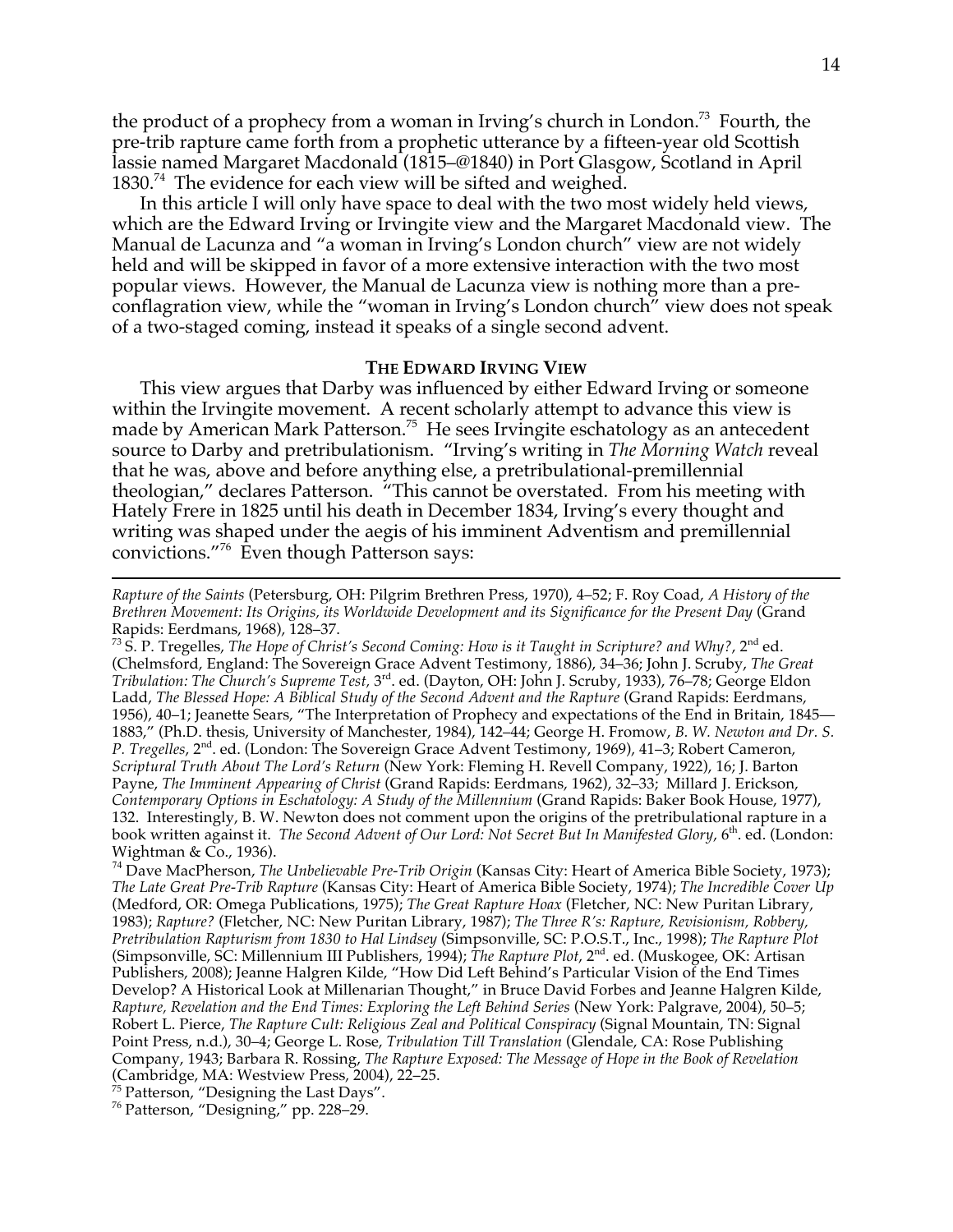the product of a prophecy from a woman in Irving's church in London.<sup>73</sup> Fourth, the pre-trib rapture came forth from a prophetic utterance by a fifteen-year old Scottish lassie named Margaret Macdonald (1815–@1840) in Port Glasgow, Scotland in April 1830.<sup>74</sup> The evidence for each view will be sifted and weighed.

In this article I will only have space to deal with the two most widely held views, which are the Edward Irving or Irvingite view and the Margaret Macdonald view. The Manual de Lacunza and "a woman in Irving's London church" view are not widely held and will be skipped in favor of a more extensive interaction with the two most popular views. However, the Manual de Lacunza view is nothing more than a preconflagration view, while the "woman in Irving's London church" view does not speak of a two-staged coming, instead it speaks of a single second advent.

### **THE EDWARD IRVING VIEW**

This view argues that Darby was influenced by either Edward Irving or someone within the Irvingite movement. A recent scholarly attempt to advance this view is made by American Mark Patterson. <sup>75</sup> He sees Irvingite eschatology as an antecedent source to Darby and pretribulationism. "Irving's writing in *The Morning Watch* reveal that he was, above and before anything else, a pretribulational-premillennial theologian," declares Patterson. "This cannot be overstated. From his meeting with Hately Frere in 1825 until his death in December 1834, Irving's every thought and writing was shaped under the aegis of his imminent Adventism and premillennial convictions."76 Even though Patterson says:

<sup>74</sup> Dave MacPherson, *The Unbelievable Pre-Trib Origin* (Kansas City: Heart of America Bible Society, 1973); *The Late Great Pre-Trib Rapture* (Kansas City: Heart of America Bible Society, 1974); *The Incredible Cover Up* (Medford, OR: Omega Publications, 1975); *The Great Rapture Hoax* (Fletcher, NC: New Puritan Library, 1983); *Rapture?* (Fletcher, NC: New Puritan Library, 1987); *The Three R's: Rapture, Revisionism, Robbery, Pretribulation Rapturism from 1830 to Hal Lindsey* (Simpsonville, SC: P.O.S.T., Inc., 1998); *The Rapture Plot* (Simpsonville, SC: Millennium III Publishers, 1994); *The Rapture Plot*, 2nd. ed. (Muskogee, OK: Artisan Publishers, 2008); Jeanne Halgren Kilde, "How Did Left Behind's Particular Vision of the End Times Develop? A Historical Look at Millenarian Thought," in Bruce David Forbes and Jeanne Halgren Kilde, *Rapture, Revelation and the End Times: Exploring the Left Behind Series* (New York: Palgrave, 2004), 50–5; Robert L. Pierce, *The Rapture Cult: Religious Zeal and Political Conspiracy* (Signal Mountain, TN: Signal Point Press, n.d.), 30–4; George L. Rose, *Tribulation Till Translation* (Glendale, CA: Rose Publishing Company, 1943; Barbara R. Rossing, *The Rapture Exposed: The Message of Hope in the Book of Revelation*  (Cambridge, MA: Westview Press, 2004), 22–25.<br><sup>75</sup> Patterson, "Designing the Last Days".<br><sup>76</sup> Patterson, "Designing," pp. 228–29.

 $\overline{a}$ 

*Rapture of the Saints* (Petersburg, OH: Pilgrim Brethren Press, 1970), 4–52; F. Roy Coad, *A History of the Brethren Movement: Its Origins, its Worldwide Development and its Significance for the Present Day* (Grand

<sup>&</sup>lt;sup>73</sup> S. P. Tregelles, *The Hope of Christ's Second Coming: How is it Taught in Scripture? and Why?*, 2<sup>nd</sup> ed. (Chelmsford, England: The Sovereign Grace Advent Testimony, 1886), 34–36; John J. Scruby, *The Great Tribulation: The Church's Supreme Test,* 3rd. ed. (Dayton, OH: John J. Scruby, 1933), 76–78; George Eldon Ladd, *The Blessed Hope: A Biblical Study of the Second Advent and the Rapture* (Grand Rapids: Eerdmans, 1956), 40–1; Jeanette Sears, "The Interpretation of Prophecy and expectations of the End in Britain, 1845— 1883," (Ph.D. thesis, University of Manchester, 1984), 142–44; George H. Fromow, *B. W. Newton and Dr. S. P. Tregelles*, 2<sup>nd</sup>. ed. (London: The Sovereign Grace Advent Testimony, 1969), 41–3; Robert Cameron, *Scriptural Truth About The Lord's Return* (New York: Fleming H. Revell Company, 1922), 16; J. Barton Payne, *The Imminent Appearing of Christ* (Grand Rapids: Eerdmans, 1962), 32–33; Millard J. Erickson, *Contemporary Options in Eschatology: A Study of the Millennium* (Grand Rapids: Baker Book House, 1977), 132. Interestingly, B. W. Newton does not comment upon the origins of the pretribulational rapture in a book written against it. *The Second Advent of Our Lord: Not Secret But In Manifested Glory,* 6<sup>th</sup>. ed. (London: Wightman & Co., 1936).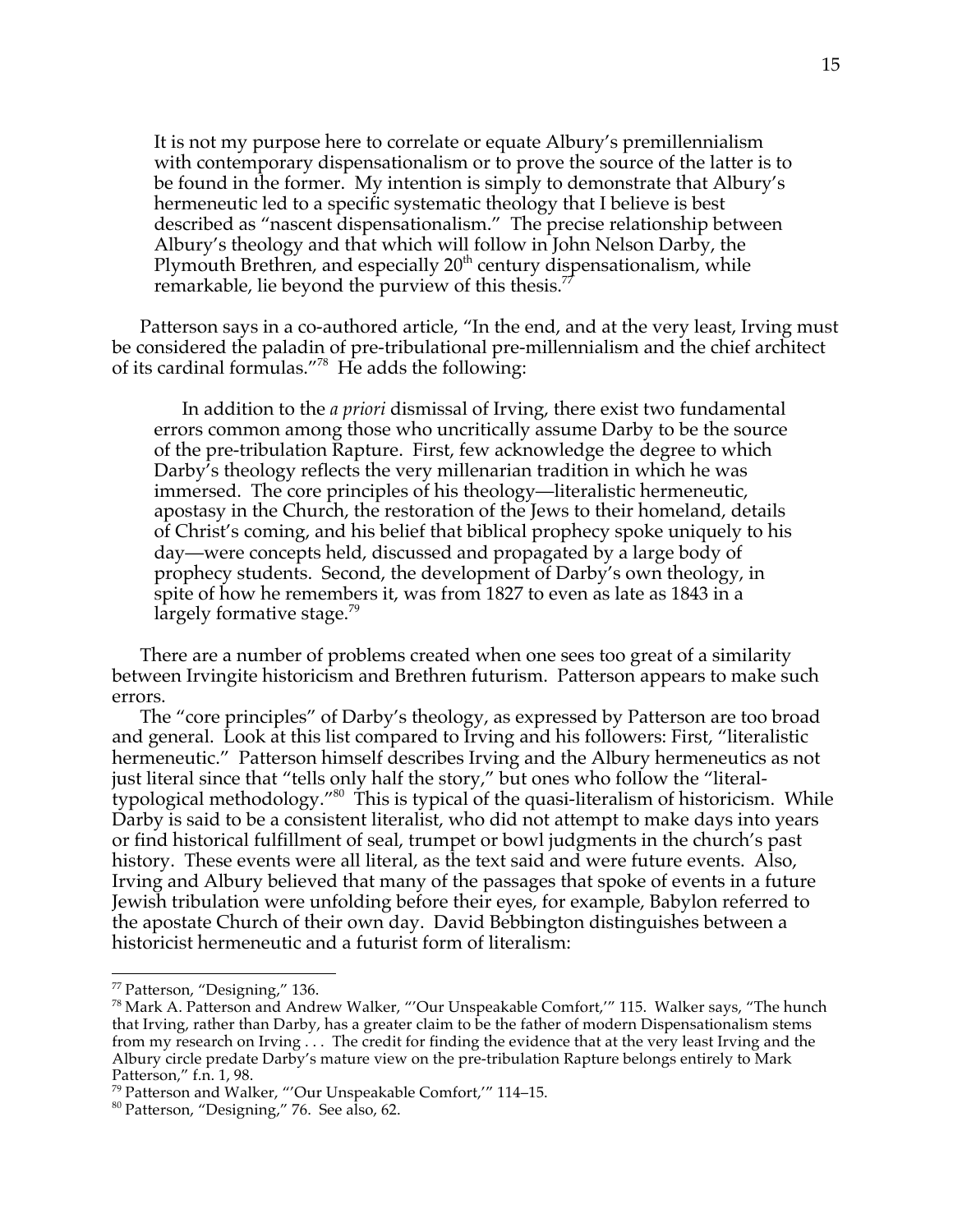It is not my purpose here to correlate or equate Albury's premillennialism with contemporary dispensationalism or to prove the source of the latter is to be found in the former. My intention is simply to demonstrate that Albury's hermeneutic led to a specific systematic theology that I believe is best described as "nascent dispensationalism." The precise relationship between Albury's theology and that which will follow in John Nelson Darby, the Plymouth Brethren, and especially  $20<sup>th</sup>$  century dispensationalism, while remarkable, lie beyond the purview of this thesis.<sup>77</sup>

Patterson says in a co-authored article, "In the end, and at the very least, Irving must be considered the paladin of pre-tribulational pre-millennialism and the chief architect of its cardinal formulas."78 He adds the following:

In addition to the *a priori* dismissal of Irving, there exist two fundamental errors common among those who uncritically assume Darby to be the source of the pre-tribulation Rapture. First, few acknowledge the degree to which Darby's theology reflects the very millenarian tradition in which he was immersed. The core principles of his theology—literalistic hermeneutic, apostasy in the Church, the restoration of the Jews to their homeland, details of Christ's coming, and his belief that biblical prophecy spoke uniquely to his day—were concepts held, discussed and propagated by a large body of prophecy students. Second, the development of Darby's own theology, in spite of how he remembers it, was from 1827 to even as late as 1843 in a largely formative stage.<sup>79</sup>

There are a number of problems created when one sees too great of a similarity between Irvingite historicism and Brethren futurism. Patterson appears to make such errors.

The "core principles" of Darby's theology, as expressed by Patterson are too broad and general. Look at this list compared to Irving and his followers: First, "literalistic hermeneutic." Patterson himself describes Irving and the Albury hermeneutics as not just literal since that "tells only half the story," but ones who follow the "literaltypological methodology."80 This is typical of the quasi-literalism of historicism. While Darby is said to be a consistent literalist, who did not attempt to make days into years or find historical fulfillment of seal, trumpet or bowl judgments in the church's past history. These events were all literal, as the text said and were future events. Also, Irving and Albury believed that many of the passages that spoke of events in a future Jewish tribulation were unfolding before their eyes, for example, Babylon referred to the apostate Church of their own day. David Bebbington distinguishes between a historicist hermeneutic and a futurist form of literalism:

<sup>&</sup>lt;sup>77</sup> Patterson, "Designing," 136.<br><sup>78</sup> Mark A. Patterson and Andrew Walker, "'Our Unspeakable Comfort,'" 115. Walker says, "The hunch that Irving, rather than Darby, has a greater claim to be the father of modern Dispensationalism stems from my research on Irving . . . The credit for finding the evidence that at the very least Irving and the Albury circle predate Darby's mature view on the pre-tribulation Rapture belongs entirely to Mark<br>Patterson," f.n. 1, 98.

<sup>&</sup>lt;sup>79</sup> Patterson and Walker, "'Our Unspeakable Comfort,'" 114–15.  $\frac{80}{114}$  Patterson, "Designing," 76. See also, 62.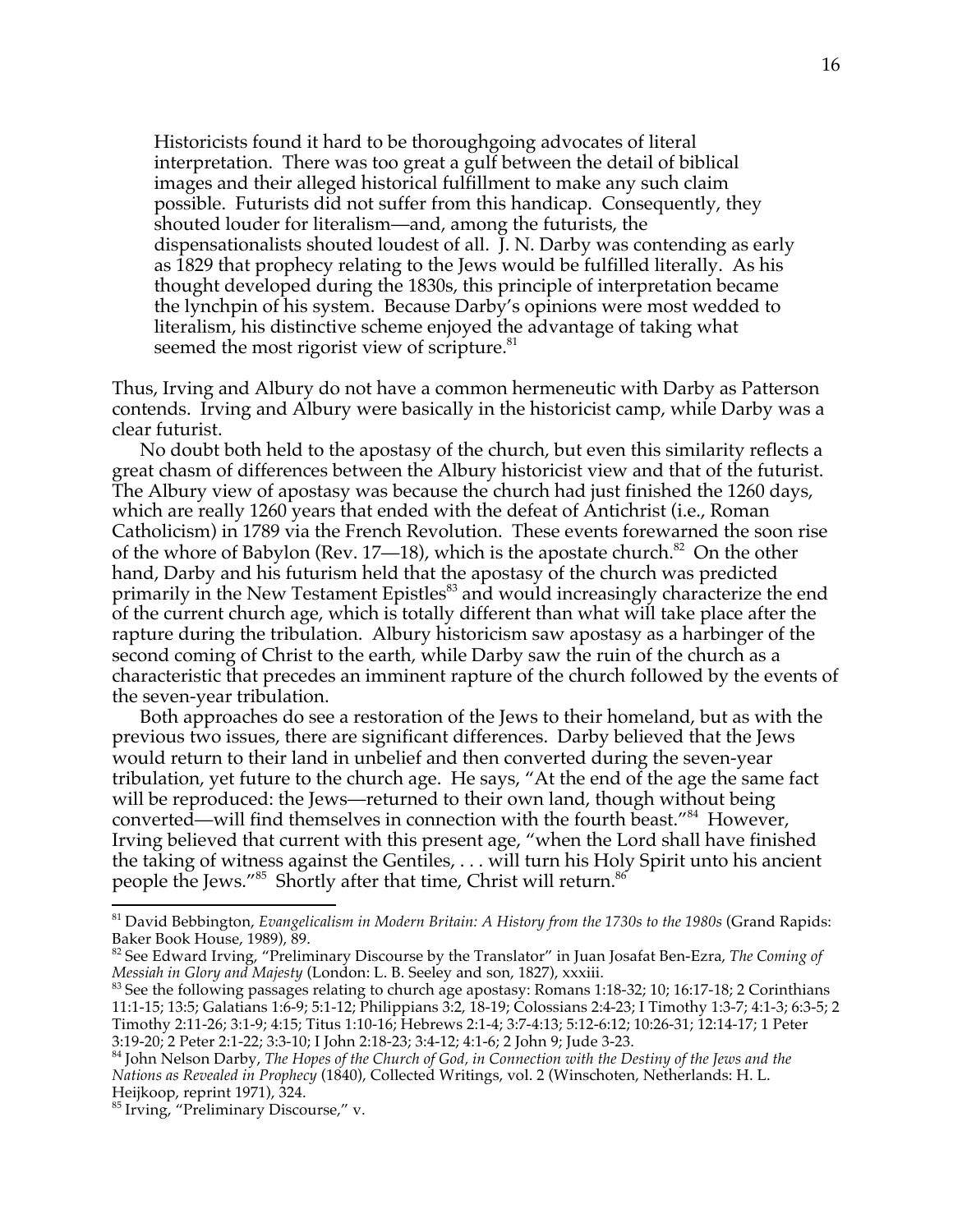Historicists found it hard to be thoroughgoing advocates of literal interpretation. There was too great a gulf between the detail of biblical images and their alleged historical fulfillment to make any such claim possible. Futurists did not suffer from this handicap. Consequently, they shouted louder for literalism—and, among the futurists, the dispensationalists shouted loudest of all. J. N. Darby was contending as early as 1829 that prophecy relating to the Jews would be fulfilled literally. As his thought developed during the 1830s, this principle of interpretation became the lynchpin of his system. Because Darby's opinions were most wedded to literalism, his distinctive scheme enjoyed the advantage of taking what seemed the most rigorist view of scripture.<sup>81</sup>

Thus, Irving and Albury do not have a common hermeneutic with Darby as Patterson contends. Irving and Albury were basically in the historicist camp, while Darby was a clear futurist.

No doubt both held to the apostasy of the church, but even this similarity reflects a great chasm of differences between the Albury historicist view and that of the futurist. The Albury view of apostasy was because the church had just finished the 1260 days, which are really 1260 years that ended with the defeat of Antichrist (i.e., Roman Catholicism) in 1789 via the French Revolution. These events forewarned the soon rise of the whore of Babylon (Rev. 17—18), which is the apostate church.<sup>82</sup> On the other hand, Darby and his futurism held that the apostasy of the church was predicted primarily in the New Testament Epistles<sup>83</sup> and would increasingly characterize the end of the current church age, which is totally different than what will take place after the rapture during the tribulation. Albury historicism saw apostasy as a harbinger of the second coming of Christ to the earth, while Darby saw the ruin of the church as a characteristic that precedes an imminent rapture of the church followed by the events of the seven-year tribulation.

Both approaches do see a restoration of the Jews to their homeland, but as with the previous two issues, there are significant differences. Darby believed that the Jews would return to their land in unbelief and then converted during the seven-year tribulation, yet future to the church age. He says, "At the end of the age the same fact will be reproduced: the Jews—returned to their own land, though without being converted—will find themselves in connection with the fourth beast."84 However, Irving believed that current with this present age, "when the Lord shall have finished the taking of witness against the Gentiles, . . . will turn his Holy Spirit unto his ancient people the Jews."<sup>85</sup> Shortly after that time, Christ will return.<sup>86</sup>

 <sup>81</sup> David Bebbington, *Evangelicalism in Modern Britain: A History from the 1730s to the 1980s* (Grand Rapids:

Baker Book House, 1989), 89.<br><sup>82</sup> See Edward Irving, "Preliminary Discourse by the Translator" in Juan Josafat Ben-Ezra, *The Coming of Messiah in Glory and Majesty* (London: L. B. Seeley and son, 1827), xxxiii.

<sup>&</sup>lt;sup>83</sup> See the following passages relating to church age apostasy: Romans 1:18-32; 10; 16:17-18; 2 Corinthians 11:1-15; 13:5; Galatians 1:6-9; 5:1-12; Philippians 3:2, 18-19; Colossians 2:4-23; I Timothy 1:3-7; 4:1-3; 6:3-5; 2 Timothy 2:11-26; 3:1-9; 4:15; Titus 1:10-16; Hebrews 2:1-4; 3:7-4:13; 5:12-6:12; 10:26-31; 12:14-17; 1 Peter 3:19-20; 2 Peter 2:1-22; 3:3-10; I John 2:18-23; 3:4-12; 4:1-6; 2 John 9; Jude 3-23.<br><sup>84</sup> John Nelson Darby, *The Hopes of the Church of God, in Connection with the Destiny of the Jews and the* 

*Nations as Revealed in Prophecy* (1840), Collected Writings, vol. 2 (Winschoten, Netherlands: H. L. Heijkoop, reprint 1971), 324.

<sup>85</sup> Irving, "Preliminary Discourse," v.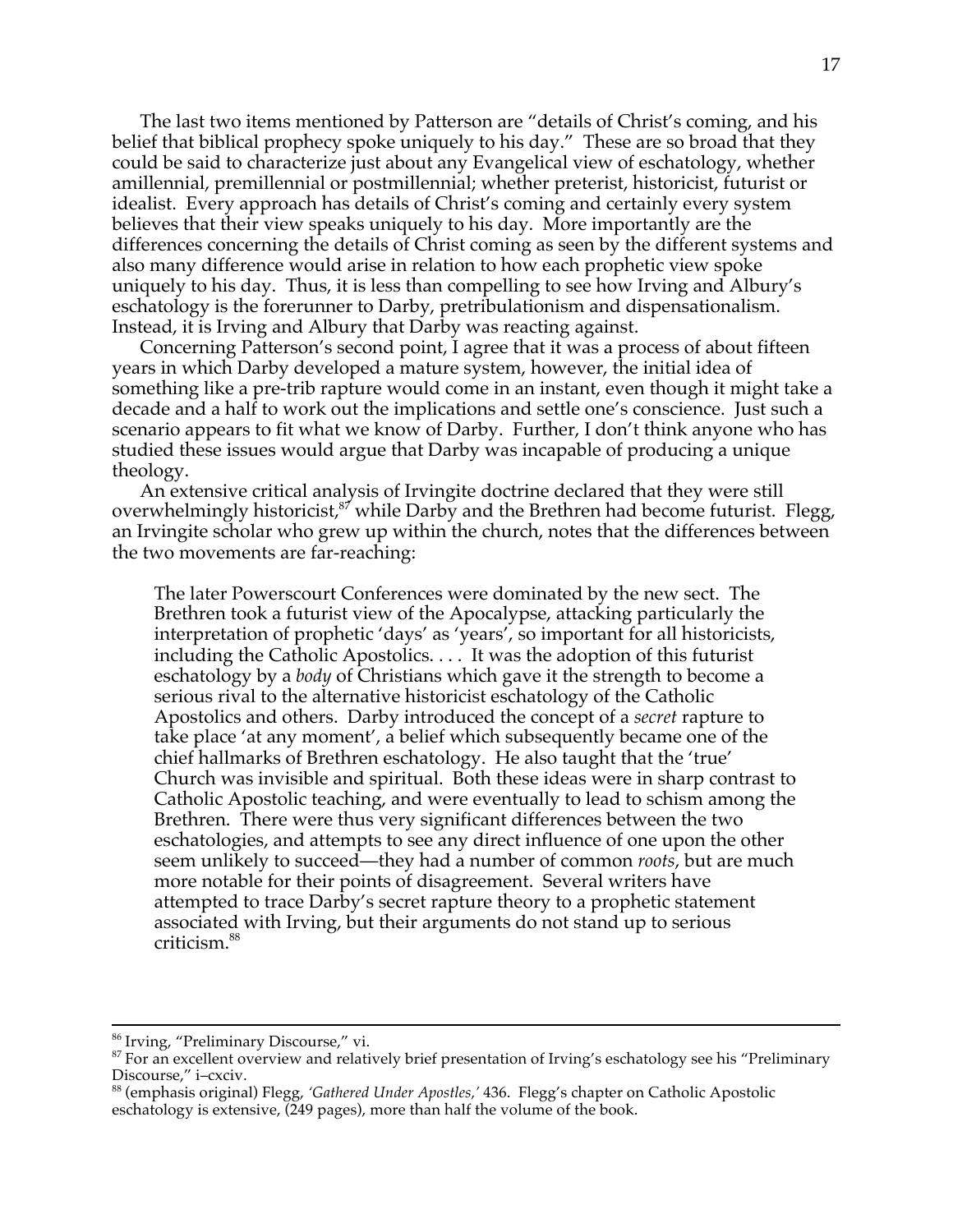The last two items mentioned by Patterson are "details of Christ's coming, and his belief that biblical prophecy spoke uniquely to his day." These are so broad that they could be said to characterize just about any Evangelical view of eschatology, whether amillennial, premillennial or postmillennial; whether preterist, historicist, futurist or idealist. Every approach has details of Christ's coming and certainly every system believes that their view speaks uniquely to his day. More importantly are the differences concerning the details of Christ coming as seen by the different systems and also many difference would arise in relation to how each prophetic view spoke uniquely to his day. Thus, it is less than compelling to see how Irving and Albury's eschatology is the forerunner to Darby, pretribulationism and dispensationalism. Instead, it is Irving and Albury that Darby was reacting against.

Concerning Patterson's second point, I agree that it was a process of about fifteen years in which Darby developed a mature system, however, the initial idea of something like a pre-trib rapture would come in an instant, even though it might take a decade and a half to work out the implications and settle one's conscience. Just such a scenario appears to fit what we know of Darby. Further, I don't think anyone who has studied these issues would argue that Darby was incapable of producing a unique theology.

An extensive critical analysis of Irvingite doctrine declared that they were still overwhelmingly historicist, $^{87}$  while Darby and the Brethren had become futurist. Flegg, an Irvingite scholar who grew up within the church, notes that the differences between the two movements are far-reaching:

The later Powerscourt Conferences were dominated by the new sect. The Brethren took a futurist view of the Apocalypse, attacking particularly the interpretation of prophetic 'days' as 'years', so important for all historicists, including the Catholic Apostolics. . . . It was the adoption of this futurist eschatology by a *body* of Christians which gave it the strength to become a serious rival to the alternative historicist eschatology of the Catholic Apostolics and others. Darby introduced the concept of a *secret* rapture to take place 'at any moment', a belief which subsequently became one of the chief hallmarks of Brethren eschatology. He also taught that the 'true' Church was invisible and spiritual. Both these ideas were in sharp contrast to Catholic Apostolic teaching, and were eventually to lead to schism among the Brethren. There were thus very significant differences between the two eschatologies, and attempts to see any direct influence of one upon the other seem unlikely to succeed—they had a number of common *roots*, but are much more notable for their points of disagreement. Several writers have attempted to trace Darby's secret rapture theory to a prophetic statement associated with Irving, but their arguments do not stand up to serious criticism.88

<sup>&</sup>lt;sup>86</sup> Irving, "Preliminary Discourse," vi.<br><sup>87</sup> For an excellent overview and relatively brief presentation of Irving's eschatology see his "Preliminary<br>Discourse," i–cxciv.

<sup>&</sup>lt;sup>88</sup> (emphasis original) Flegg, *'Gathered Under Apostles,'* 436. Flegg's chapter on Catholic Apostolic eschatology is extensive, (249 pages), more than half the volume of the book.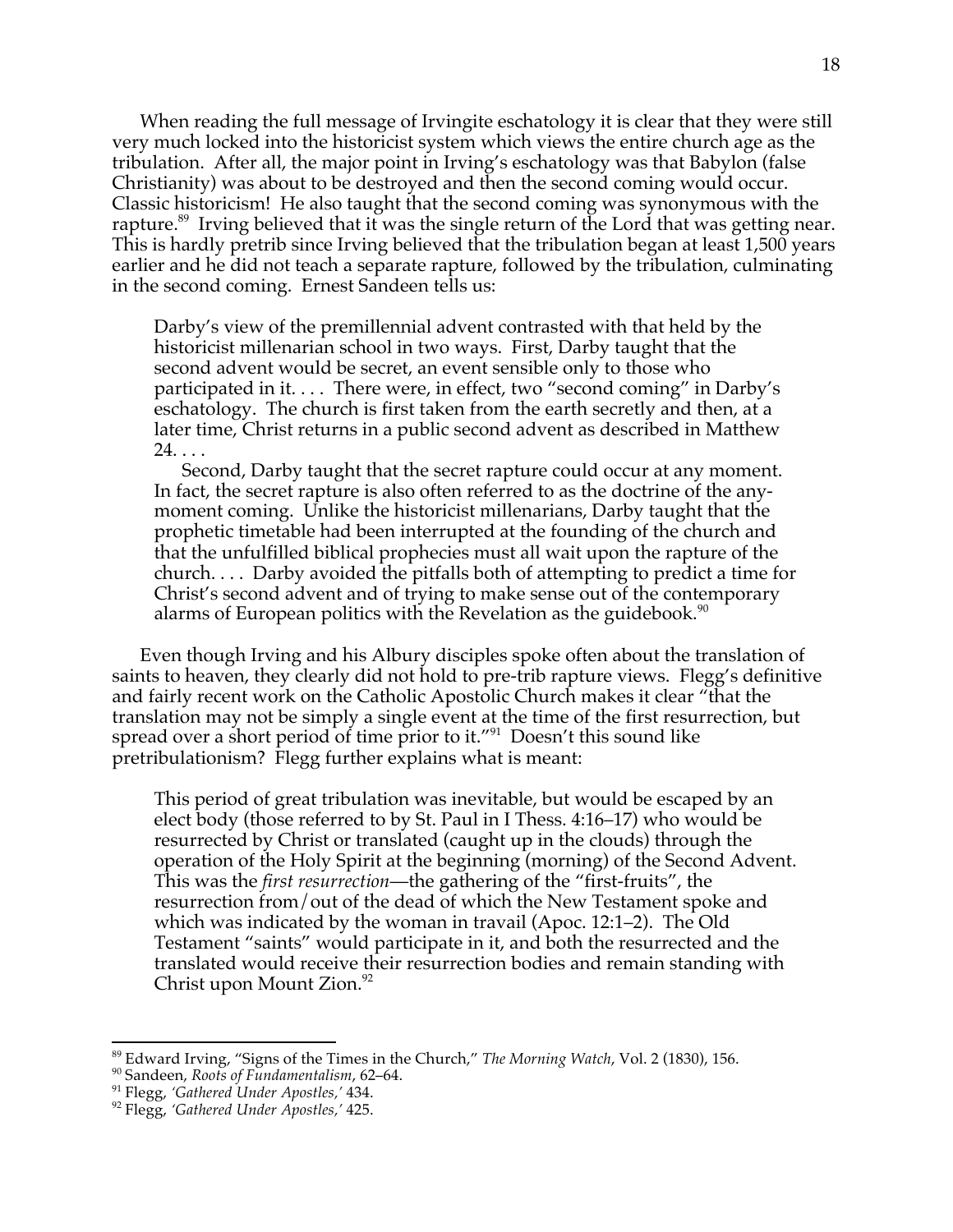When reading the full message of Irvingite eschatology it is clear that they were still very much locked into the historicist system which views the entire church age as the tribulation. After all, the major point in Irving's eschatology was that Babylon (false Christianity) was about to be destroyed and then the second coming would occur. Classic historicism! He also taught that the second coming was synonymous with the rapture.<sup>89</sup> Irving believed that it was the single return of the Lord that was getting near. This is hardly pretrib since Irving believed that the tribulation began at least 1,500 years earlier and he did not teach a separate rapture, followed by the tribulation, culminating in the second coming. Ernest Sandeen tells us:

Darby's view of the premillennial advent contrasted with that held by the historicist millenarian school in two ways. First, Darby taught that the second advent would be secret, an event sensible only to those who participated in it. . . . There were, in effect, two "second coming" in Darby's eschatology. The church is first taken from the earth secretly and then, at a later time, Christ returns in a public second advent as described in Matthew 24. . . .

Second, Darby taught that the secret rapture could occur at any moment. In fact, the secret rapture is also often referred to as the doctrine of the anymoment coming. Unlike the historicist millenarians, Darby taught that the prophetic timetable had been interrupted at the founding of the church and that the unfulfilled biblical prophecies must all wait upon the rapture of the church. . . . Darby avoided the pitfalls both of attempting to predict a time for Christ's second advent and of trying to make sense out of the contemporary alarms of European politics with the Revelation as the guidebook.<sup>90</sup>

Even though Irving and his Albury disciples spoke often about the translation of saints to heaven, they clearly did not hold to pre-trib rapture views. Flegg's definitive and fairly recent work on the Catholic Apostolic Church makes it clear "that the translation may not be simply a single event at the time of the first resurrection, but spread over a short period of time prior to it."<sup>91</sup> Doesn't this sound like pretribulationism? Flegg further explains what is meant:

This period of great tribulation was inevitable, but would be escaped by an elect body (those referred to by St. Paul in I Thess. 4:16–17) who would be resurrected by Christ or translated (caught up in the clouds) through the operation of the Holy Spirit at the beginning (morning) of the Second Advent. This was the *first resurrection*—the gathering of the "first-fruits", the resurrection from/out of the dead of which the New Testament spoke and which was indicated by the woman in travail (Apoc. 12:1–2). The Old Testament "saints" would participate in it, and both the resurrected and the translated would receive their resurrection bodies and remain standing with Christ upon Mount Zion. $92$ 

<sup>&</sup>lt;sup>89</sup> Edward Irving, "Signs of the Times in the Church," *The Morning Watch*, Vol. 2 (1830), 156.<br><sup>90</sup> Sandeen, *Roots of Fundamentalism*, 62–64.<br><sup>91</sup> Flegg, *'Gathered Under Apostles*,' 434.<br><sup>92</sup> Flegg, *'Gathered Under A*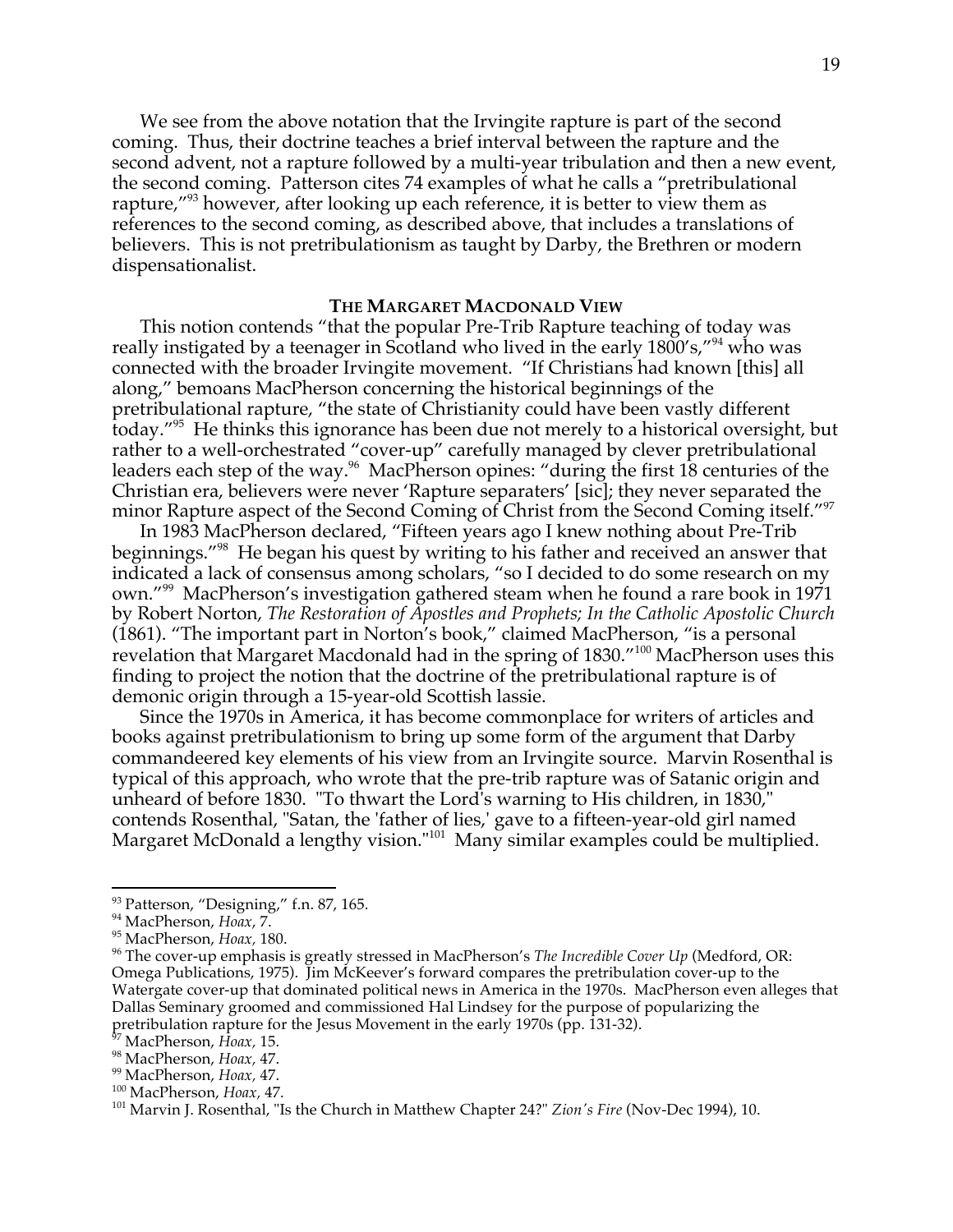We see from the above notation that the Irvingite rapture is part of the second coming. Thus, their doctrine teaches a brief interval between the rapture and the second advent, not a rapture followed by a multi-year tribulation and then a new event, the second coming. Patterson cites 74 examples of what he calls a "pretribulational rapture,<sup>"93</sup> however, after looking up each reference, it is better to view them as references to the second coming, as described above, that includes a translations of believers. This is not pretribulationism as taught by Darby, the Brethren or modern dispensationalist.

### **THE MARGARET MACDONALD VIEW**

This notion contends "that the popular Pre-Trib Rapture teaching of today was really instigated by a teenager in Scotland who lived in the early 1800's,"<sup>94</sup> who was connected with the broader Irvingite movement. "If Christians had known [this] all along," bemoans MacPherson concerning the historical beginnings of the pretribulational rapture, "the state of Christianity could have been vastly different today."95 He thinks this ignorance has been due not merely to a historical oversight, but rather to a well-orchestrated "cover-up" carefully managed by clever pretribulational leaders each step of the way.<sup>96</sup> MacPherson opines: "during the first 18 centuries of the Christian era, believers were never 'Rapture separaters' [sic]; they never separated the minor Rapture aspect of the Second Coming of Christ from the Second Coming itself."<sup>97</sup>

In 1983 MacPherson declared, "Fifteen years ago I knew nothing about Pre-Trib beginnings."98 He began his quest by writing to his father and received an answer that indicated a lack of consensus among scholars, "so I decided to do some research on my own."99 MacPherson's investigation gathered steam when he found a rare book in 1971 by Robert Norton, *The Restoration of Apostles and Prophets; In the Catholic Apostolic Church* (1861). "The important part in Norton's book," claimed MacPherson, "is a personal revelation that Margaret Macdonald had in the spring of 1830."<sup>100</sup> MacPherson uses this finding to project the notion that the doctrine of the pretribulational rapture is of demonic origin through a 15-year-old Scottish lassie.

Since the 1970s in America, it has become commonplace for writers of articles and books against pretribulationism to bring up some form of the argument that Darby commandeered key elements of his view from an Irvingite source. Marvin Rosenthal is typical of this approach, who wrote that the pre-trib rapture was of Satanic origin and unheard of before 1830. "To thwart the Lord's warning to His children, in 1830," contends Rosenthal, "Satan, the 'father of lies,' gave to a fifteen-year-old girl named Margaret McDonald a lengthy vision."<sup>101</sup> Many similar examples could be multiplied.

<sup>&</sup>lt;sup>93</sup> Patterson, "Designing," f.n. 87, 165.<br><sup>94</sup> MacPherson, *Hoax*, 7.<br><sup>95</sup> MacPherson, *Hoax*, 180.<br><sup>96</sup> The cover-up emphasis is greatly stressed in MacPherson's *The Incredible Cover Up* (Medford, OR: Omega Publications, 1975). Jim McKeever's forward compares the pretribulation cover-up to the Watergate cover-up that dominated political news in America in the 1970s. MacPherson even alleges that Dallas Seminary groomed and commissioned Hal Lindsey for the purpose of popularizing the

pretribulation rapture for the Jesus Movement in the early 1970s (pp. 131-32).<br><sup>97</sup> MacPherson, *Hoax*, 15.<br><sup>98</sup> MacPherson, *Hoax*, 47.<br><sup>99</sup> MacPherson, *Hoax*, 47.<br><sup>100</sup> MacPherson, *Hoax*, 47.<br><sup>101</sup> Marvin J. Rosenthal,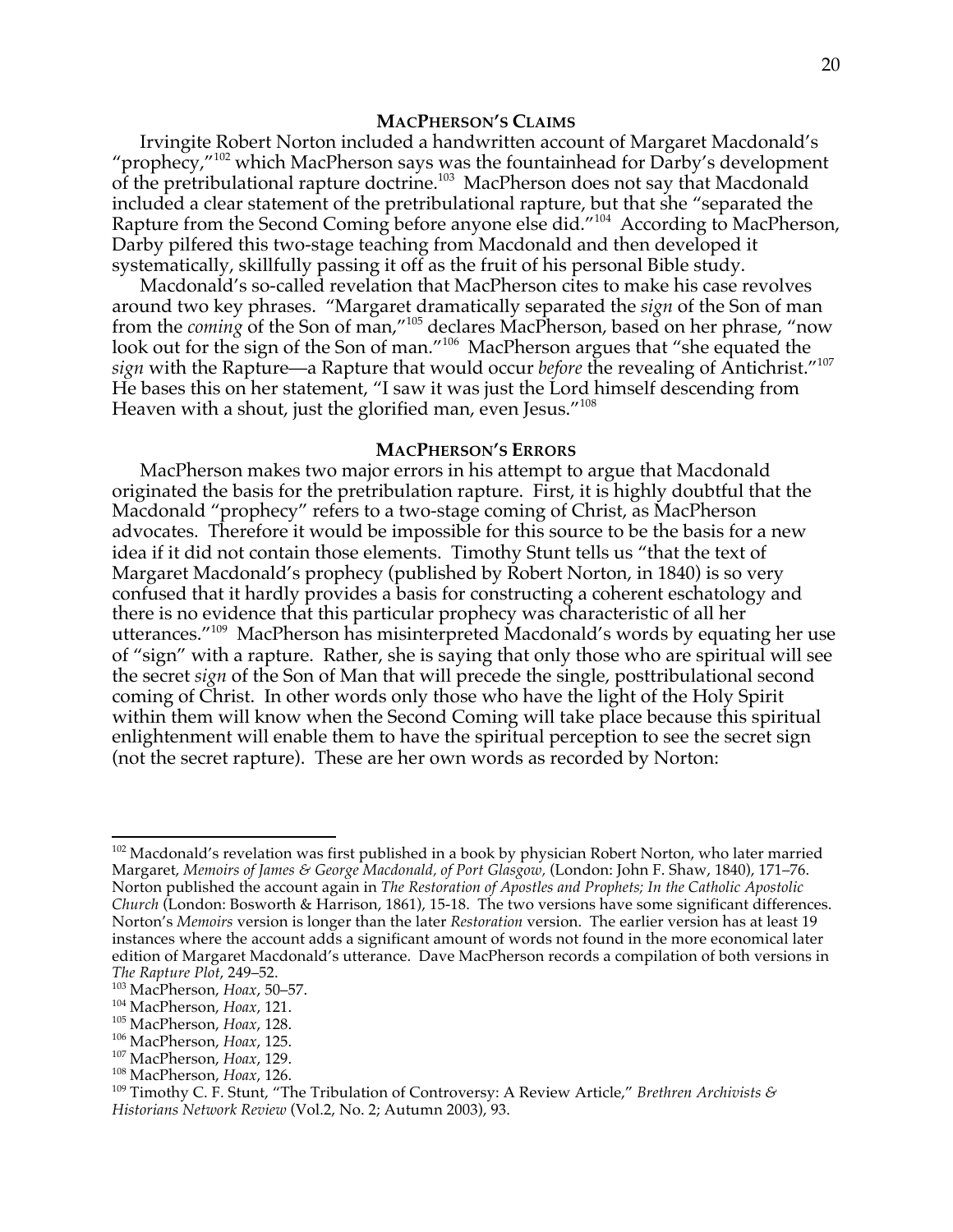## **MACPHERSON'S CLAIMS**

Irvingite Robert Norton included a handwritten account of Margaret Macdonald's "prophecy,"<sup>102</sup> which MacPherson says was the fountainhead for Darby's development of the pretribulational rapture doctrine.103 MacPherson does not say that Macdonald included a clear statement of the pretribulational rapture, but that she "separated the Rapture from the Second Coming before anyone else did."104 According to MacPherson, Darby pilfered this two-stage teaching from Macdonald and then developed it systematically, skillfully passing it off as the fruit of his personal Bible study.

Macdonald's so-called revelation that MacPherson cites to make his case revolves around two key phrases. "Margaret dramatically separated the *sign* of the Son of man from the *coming* of the Son of man,"105 declares MacPherson, based on her phrase, "now look out for the sign of the Son of man."106 MacPherson argues that "she equated the *sign* with the Rapture—a Rapture that would occur *before* the revealing of Antichrist."107 He bases this on her statement, "I saw it was just the Lord himself descending from Heaven with a shout, just the glorified man, even Jesus."<sup>108</sup>

#### **MACPHERSON'S ERRORS**

MacPherson makes two major errors in his attempt to argue that Macdonald originated the basis for the pretribulation rapture. First, it is highly doubtful that the Macdonald "prophecy" refers to a two-stage coming of Christ, as MacPherson advocates. Therefore it would be impossible for this source to be the basis for a new idea if it did not contain those elements. Timothy Stunt tells us "that the text of Margaret Macdonald's prophecy (published by Robert Norton, in 1840) is so very confused that it hardly provides a basis for constructing a coherent eschatology and there is no evidence that this particular prophecy was characteristic of all her utterances."109 MacPherson has misinterpreted Macdonald's words by equating her use of "sign" with a rapture. Rather, she is saying that only those who are spiritual will see the secret *sign* of the Son of Man that will precede the single, posttribulational second coming of Christ. In other words only those who have the light of the Holy Spirit within them will know when the Second Coming will take place because this spiritual enlightenment will enable them to have the spiritual perception to see the secret sign (not the secret rapture). These are her own words as recorded by Norton:

<sup>&</sup>lt;sup>102</sup> Macdonald's revelation was first published in a book by physician Robert Norton, who later married Margaret, *Memoirs of James & George Macdonald, of Port Glasgow,* (London: John F. Shaw, 1840), 171–76. Norton published the account again in *The Restoration of Apostles and Prophets; In the Catholic Apostolic Church* (London: Bosworth & Harrison, 1861), 15-18. The two versions have some significant differences. Norton's *Memoirs* version is longer than the later *Restoration* version. The earlier version has at least 19 instances where the account adds a significant amount of words not found in the more economical later edition of Margaret Macdonald's utterance. Dave MacPherson records a compilation of both versions in The Rapture Plot, 249-52.

<sup>&</sup>lt;sup>103</sup> MacPherson, *Hoax*, 50–57.<br><sup>104</sup> MacPherson, *Hoax*, 121.<br><sup>105</sup> MacPherson, *Hoax*, 128.<br><sup>106</sup> MacPherson, *Hoax*, 125.<br><sup>107</sup> MacPherson, *Hoax*, 129.<br><sup>108</sup> MacPherson, *Hoax*, 126.<br><sup>109</sup> Timothy C. F. Stunt, "The Tr *Historians Network Review* (Vol.2, No. 2; Autumn 2003), 93.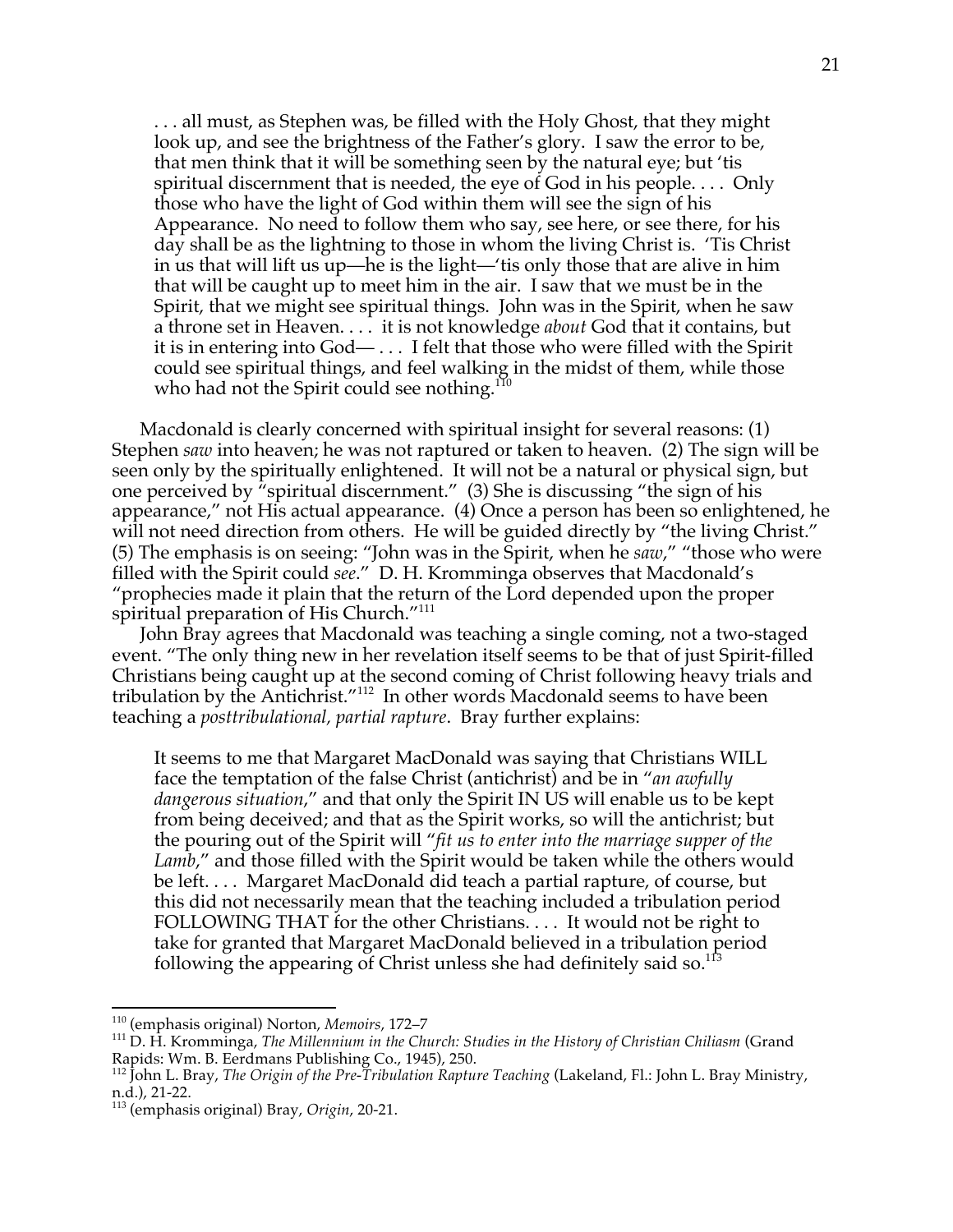. . . all must, as Stephen was, be filled with the Holy Ghost, that they might look up, and see the brightness of the Father's glory. I saw the error to be, that men think that it will be something seen by the natural eye; but 'tis spiritual discernment that is needed, the eye of God in his people. . . . Only those who have the light of God within them will see the sign of his Appearance. No need to follow them who say, see here, or see there, for his day shall be as the lightning to those in whom the living Christ is. 'Tis Christ in us that will lift us up—he is the light—'tis only those that are alive in him that will be caught up to meet him in the air. I saw that we must be in the Spirit, that we might see spiritual things. John was in the Spirit, when he saw a throne set in Heaven. . . . it is not knowledge *about* God that it contains, but it is in entering into God— . . . I felt that those who were filled with the Spirit could see spiritual things, and feel walking in the midst of them, while those who had not the Spirit could see nothing.<sup>110</sup>

Macdonald is clearly concerned with spiritual insight for several reasons: (1) Stephen *saw* into heaven; he was not raptured or taken to heaven. (2) The sign will be seen only by the spiritually enlightened. It will not be a natural or physical sign, but one perceived by "spiritual discernment." (3) She is discussing "the sign of his appearance," not His actual appearance. (4) Once a person has been so enlightened, he will not need direction from others. He will be guided directly by "the living Christ." (5) The emphasis is on seeing: "John was in the Spirit, when he *saw*," "those who were filled with the Spirit could *see*." D. H. Kromminga observes that Macdonald's "prophecies made it plain that the return of the Lord depended upon the proper spiritual preparation of His Church."<sup>111</sup>

John Bray agrees that Macdonald was teaching a single coming, not a two-staged event. "The only thing new in her revelation itself seems to be that of just Spirit-filled Christians being caught up at the second coming of Christ following heavy trials and tribulation by the Antichrist."112 In other words Macdonald seems to have been teaching a *posttribulational, partial rapture*. Bray further explains:

It seems to me that Margaret MacDonald was saying that Christians WILL face the temptation of the false Christ (antichrist) and be in "*an awfully dangerous situation*," and that only the Spirit IN US will enable us to be kept from being deceived; and that as the Spirit works, so will the antichrist; but the pouring out of the Spirit will "*fit us to enter into the marriage supper of the Lamb*," and those filled with the Spirit would be taken while the others would be left. . . . Margaret MacDonald did teach a partial rapture, of course, but this did not necessarily mean that the teaching included a tribulation period FOLLOWING THAT for the other Christians. . . . It would not be right to take for granted that Margaret MacDonald believed in a tribulation period following the appearing of Christ unless she had definitely said so.  $113$ 

<sup>&</sup>lt;sup>110</sup> (emphasis original) Norton, *Memoirs*, 172–7<br><sup>111</sup> D. H. Kromminga, *The Millennium in the Church: Studies in the History of Christian Chiliasm* (Grand Rapids: Wm. B. Eerdmans Publishing Co., 1945), 250.<br><sup>112</sup> John L. Bray, *The Origin of the Pre-Tribulation Rapture Teaching* (Lakeland, Fl.: John L. Bray Ministry,

n.d.), 21-22. <sup>113</sup> (emphasis original) Bray, *Origin*, 20-21.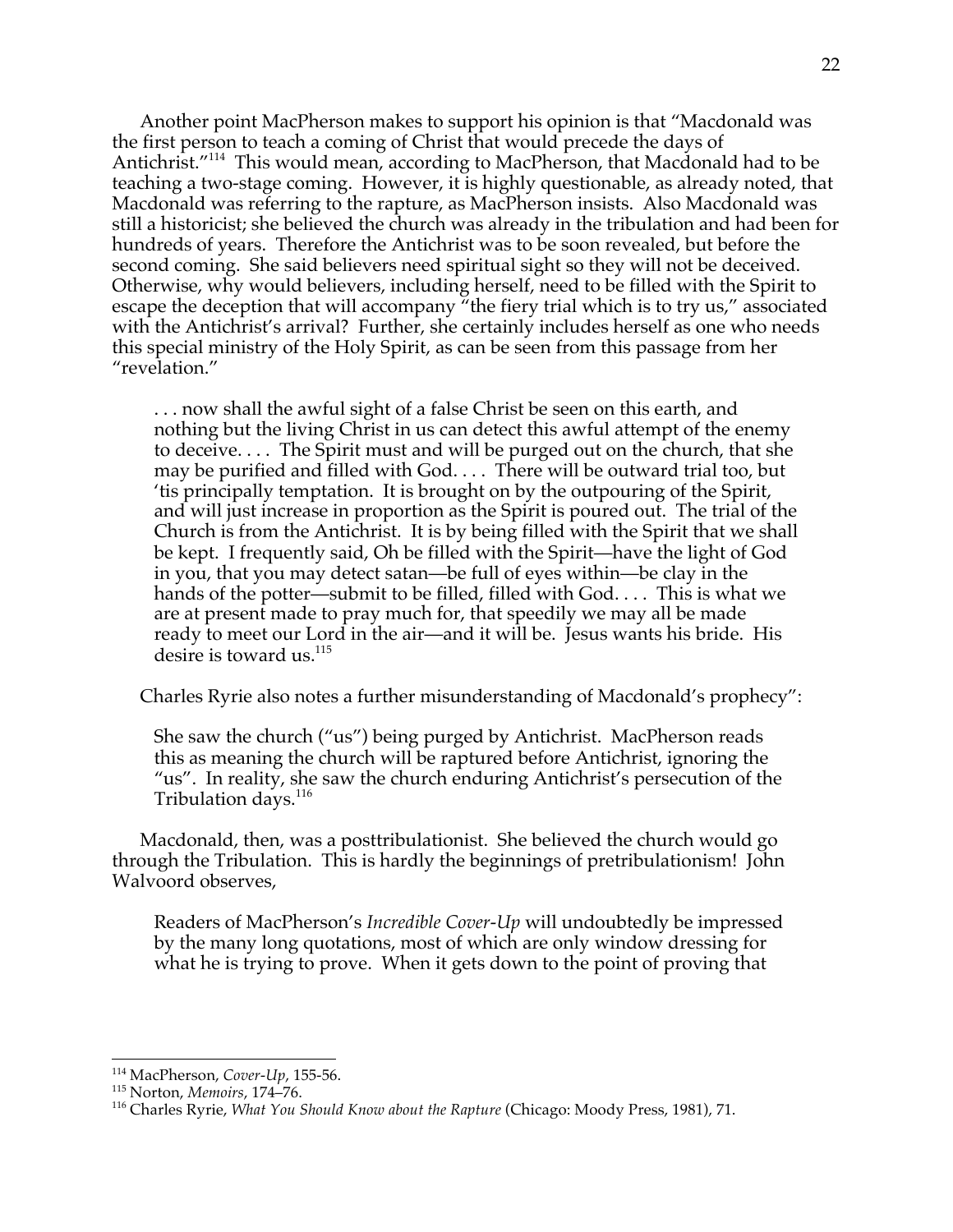Another point MacPherson makes to support his opinion is that "Macdonald was the first person to teach a coming of Christ that would precede the days of Antichrist."<sup>114</sup> This would mean, according to MacPherson, that Macdonald had to be teaching a two-stage coming. However, it is highly questionable, as already noted, that Macdonald was referring to the rapture, as MacPherson insists. Also Macdonald was still a historicist; she believed the church was already in the tribulation and had been for hundreds of years. Therefore the Antichrist was to be soon revealed, but before the second coming. She said believers need spiritual sight so they will not be deceived. Otherwise, why would believers, including herself, need to be filled with the Spirit to escape the deception that will accompany "the fiery trial which is to try us," associated with the Antichrist's arrival? Further, she certainly includes herself as one who needs this special ministry of the Holy Spirit, as can be seen from this passage from her "revelation."

. . . now shall the awful sight of a false Christ be seen on this earth, and nothing but the living Christ in us can detect this awful attempt of the enemy to deceive. . . . The Spirit must and will be purged out on the church, that she may be purified and filled with God. . . . There will be outward trial too, but 'tis principally temptation. It is brought on by the outpouring of the Spirit, and will just increase in proportion as the Spirit is poured out. The trial of the Church is from the Antichrist. It is by being filled with the Spirit that we shall be kept. I frequently said, Oh be filled with the Spirit—have the light of God in you, that you may detect satan—be full of eyes within—be clay in the hands of the potter—submit to be filled, filled with God. . . . This is what we are at present made to pray much for, that speedily we may all be made ready to meet our Lord in the air—and it will be. Jesus wants his bride. His desire is toward us.<sup>115</sup>

Charles Ryrie also notes a further misunderstanding of Macdonald's prophecy":

She saw the church ("us") being purged by Antichrist. MacPherson reads this as meaning the church will be raptured before Antichrist, ignoring the "us". In reality, she saw the church enduring Antichrist's persecution of the Tribulation days.<sup>116</sup>

Macdonald, then, was a posttribulationist. She believed the church would go through the Tribulation. This is hardly the beginnings of pretribulationism! John Walvoord observes,

Readers of MacPherson's *Incredible Cover-Up* will undoubtedly be impressed by the many long quotations, most of which are only window dressing for what he is trying to prove. When it gets down to the point of proving that

<sup>&</sup>lt;sup>114</sup> MacPherson, *Cover-Up*, 155-56.<br><sup>115</sup> Norton, *Memoirs*, 174–76.<br><sup>116</sup> Charles Ryrie, *What You Should Know about the Rapture* (Chicago: Moody Press, 1981), 71.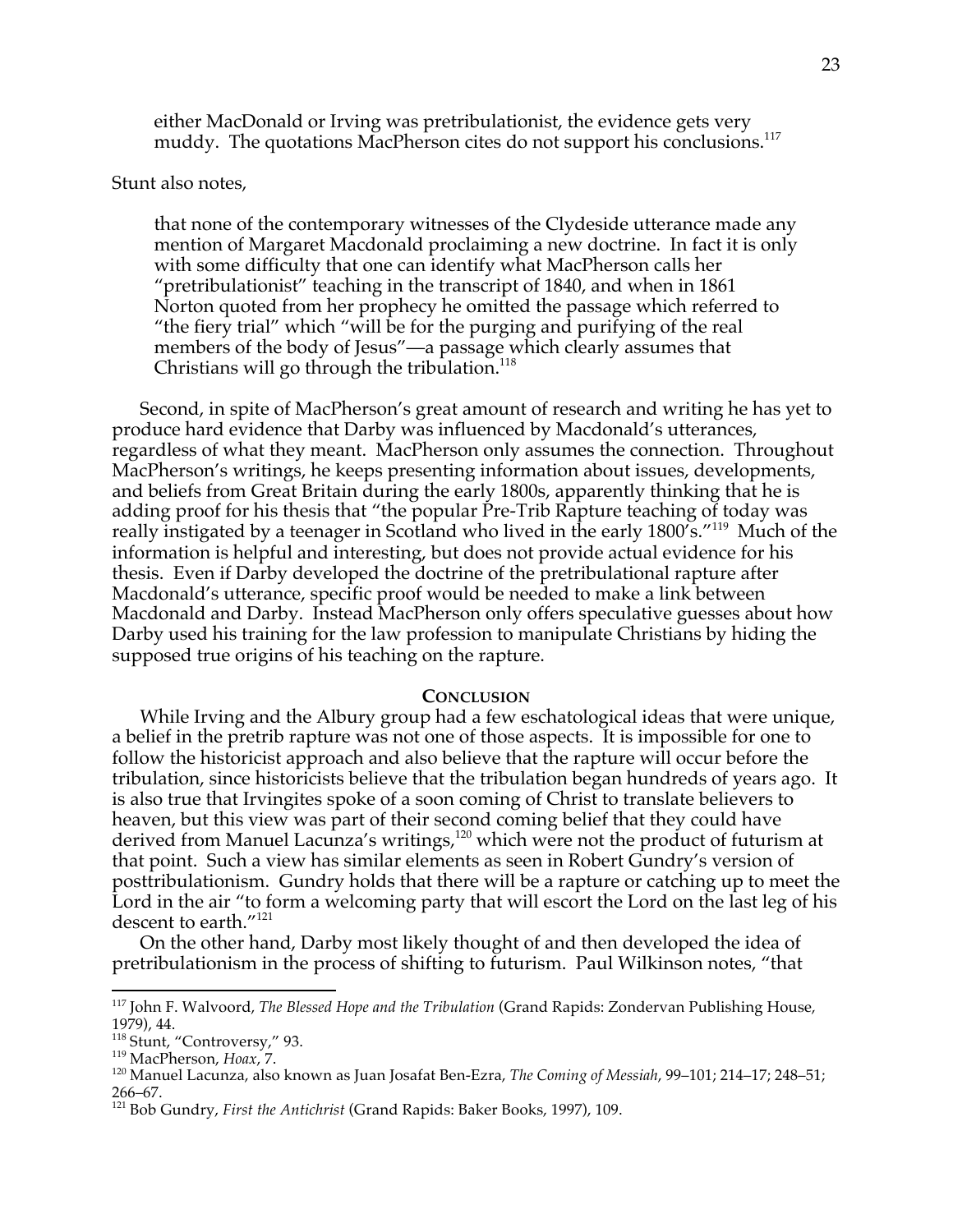either MacDonald or Irving was pretribulationist, the evidence gets very muddy. The quotations MacPherson cites do not support his conclusions.<sup>117</sup>

### Stunt also notes,

that none of the contemporary witnesses of the Clydeside utterance made any mention of Margaret Macdonald proclaiming a new doctrine. In fact it is only with some difficulty that one can identify what MacPherson calls her "pretribulationist" teaching in the transcript of 1840, and when in 1861 Norton quoted from her prophecy he omitted the passage which referred to "the fiery trial" which "will be for the purging and purifying of the real members of the body of Jesus"—a passage which clearly assumes that Christians will go through the tribulation.<sup>118</sup>

Second, in spite of MacPherson's great amount of research and writing he has yet to produce hard evidence that Darby was influenced by Macdonald's utterances, regardless of what they meant. MacPherson only assumes the connection. Throughout MacPherson's writings, he keeps presenting information about issues, developments, and beliefs from Great Britain during the early 1800s, apparently thinking that he is adding proof for his thesis that "the popular Pre-Trib Rapture teaching of today was really instigated by a teenager in Scotland who lived in the early 1800's."119 Much of the information is helpful and interesting, but does not provide actual evidence for his thesis. Even if Darby developed the doctrine of the pretribulational rapture after Macdonald's utterance, specific proof would be needed to make a link between Macdonald and Darby. Instead MacPherson only offers speculative guesses about how Darby used his training for the law profession to manipulate Christians by hiding the supposed true origins of his teaching on the rapture.

### **CONCLUSION**

While Irving and the Albury group had a few eschatological ideas that were unique, a belief in the pretrib rapture was not one of those aspects. It is impossible for one to follow the historicist approach and also believe that the rapture will occur before the tribulation, since historicists believe that the tribulation began hundreds of years ago. It is also true that Irvingites spoke of a soon coming of Christ to translate believers to heaven, but this view was part of their second coming belief that they could have derived from Manuel Lacunza's writings,<sup>120</sup> which were not the product of futurism at that point. Such a view has similar elements as seen in Robert Gundry's version of posttribulationism. Gundry holds that there will be a rapture or catching up to meet the Lord in the air "to form a welcoming party that will escort the Lord on the last leg of his descent to earth."<sup>121</sup>

On the other hand, Darby most likely thought of and then developed the idea of pretribulationism in the process of shifting to futurism. Paul Wilkinson notes, "that

<sup>&</sup>lt;sup>117</sup> John F. Walvoord, *The Blessed Hope and the Tribulation* (Grand Rapids: Zondervan Publishing House, 1979), 44.

<sup>&</sup>lt;sup>118</sup> Stunt, "Controversy," 93.<br><sup>119</sup> MacPherson, *Hoax*, 7.<br><sup>120</sup> Manuel Lacunza, also known as Juan Josafat Ben-Ezra, *The Coming of Messiah,* 99–101; 214–17; 248–51; 266–67. <sup>121</sup> Bob Gundry, *First the Antichrist* (Grand Rapids: Baker Books, 1997), 109.